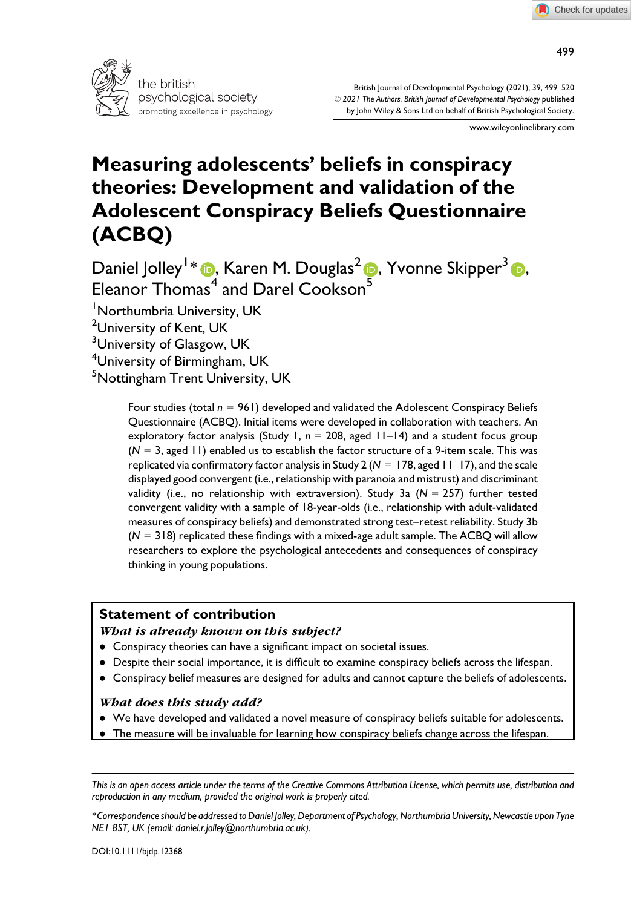

British Journal of Developmental Psychology (2021), 39, 499–520 © 2021 The Authors. British Journal of Developmental Psychology published by John Wiley & Sons Ltd on behalf of British Psychological Society.

www.wileyonlinelibrary.com

# Measuring adolescents' beliefs in conspiracy theories: Development and validation of the Adolescent Conspiracy Beliefs Questionnaire (ACBQ)

Daniel Jolley<sup>1</sup> [\\*](https://orcid.org/0000-0001-7232-8599) , Karen M. Douglas<sup>2</sup> , Yvonne Skipper3 , Eleanor  $Thomas<sup>4</sup>$  and Darel Cookson<sup>[5](https://orcid.org/0000-0002-0381-6924)</sup>

1 Northumbria University, UK

<sup>2</sup>University of Kent, UK

<sup>3</sup>University of Glasgow, UK

4 University of Birmingham, UK

<sup>5</sup>Nottingham Trent University, UK

Four studies (total  $n = 961$ ) developed and validated the Adolescent Conspiracy Beliefs Questionnaire (ACBQ). Initial items were developed in collaboration with teachers. An exploratory factor analysis (Study 1,  $n = 208$ , aged 11-14) and a student focus group  $(N = 3, \text{ aged } 11)$  enabled us to establish the factor structure of a 9-item scale. This was replicated via confirmatory factor analysis in Study 2 ( $N = 178$ , aged 11-17), and the scale displayed good convergent (i.e., relationship with paranoia and mistrust) and discriminant validity (i.e., no relationship with extraversion). Study 3a ( $N = 257$ ) further tested convergent validity with a sample of 18-year-olds (i.e., relationship with adult-validated measures of conspiracy beliefs) and demonstrated strong test–retest reliability. Study 3b  $(N = 318)$  replicated these findings with a mixed-age adult sample. The ACBQ will allow researchers to explore the psychological antecedents and consequences of conspiracy thinking in young populations.

## Statement of contribution

#### What is already known on this subject?

- Conspiracy theories can have a significant impact on societal issues.
- Despite their social importance, it is difficult to examine conspiracy beliefs across the lifespan.
- Conspiracy belief measures are designed for adults and cannot capture the beliefs of adolescents.

## What does this study add?

- We have developed and validated a novel measure of conspiracy beliefs suitable for adolescents.
- The measure will be invaluable for learning how conspiracy beliefs change across the lifespan.

\*Correspondence should be addressed to Daniel Jolley, Department of Psychology, Northumbria University, Newcastle upon Tyne NE1 8ST, UK (email: [daniel.r.jolley@northumbria.ac.uk\)](mailto:).

This is an open access article under the terms of the [Creative Commons Attribution](http://creativecommons.org/licenses/by/4.0/) License, which permits use, distribution and reproduction in any medium, provided the original work is properly cited.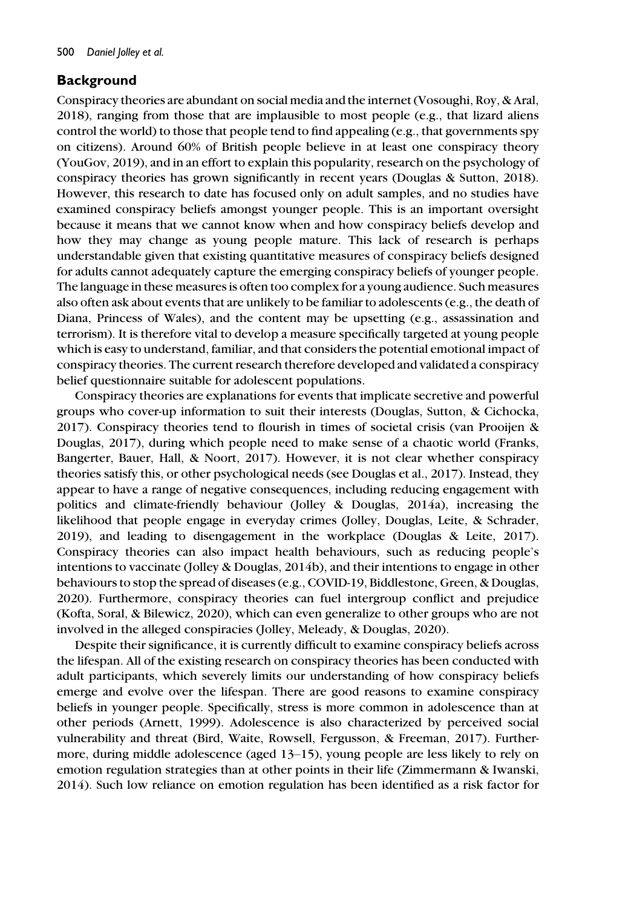# **Background**

Conspiracy theories are abundant on social media and the internet (Vosoughi, Roy, & Aral, 2018), ranging from those that are implausible to most people (e.g., that lizard aliens control the world) to those that people tend to find appealing (e.g., that governments spy on citizens). Around 60% of British people believe in at least one conspiracy theory (YouGov, 2019), and in an effort to explain this popularity, research on the psychology of conspiracy theories has grown significantly in recent years (Douglas & Sutton, 2018). However, this research to date has focused only on adult samples, and no studies have examined conspiracy beliefs amongst younger people. This is an important oversight because it means that we cannot know when and how conspiracy beliefs develop and how they may change as young people mature. This lack of research is perhaps understandable given that existing quantitative measures of conspiracy beliefs designed for adults cannot adequately capture the emerging conspiracy beliefs of younger people. The language in these measures is often too complex for a young audience. Such measures also often ask about events that are unlikely to be familiar to adolescents (e.g., the death of Diana, Princess of Wales), and the content may be upsetting (e.g., assassination and terrorism). It is therefore vital to develop a measure specifically targeted at young people which is easy to understand, familiar, and that considers the potential emotional impact of conspiracy theories. The current research therefore developed and validated a conspiracy belief questionnaire suitable for adolescent populations.

Conspiracy theories are explanations for events that implicate secretive and powerful groups who cover-up information to suit their interests (Douglas, Sutton, & Cichocka, 2017). Conspiracy theories tend to flourish in times of societal crisis (van Prooijen & Douglas, 2017), during which people need to make sense of a chaotic world (Franks, Bangerter, Bauer, Hall, & Noort, 2017). However, it is not clear whether conspiracy theories satisfy this, or other psychological needs (see Douglas et al., 2017). Instead, they appear to have a range of negative consequences, including reducing engagement with politics and climate-friendly behaviour (Jolley & Douglas, 2014a), increasing the likelihood that people engage in everyday crimes (Jolley, Douglas, Leite, & Schrader, 2019), and leading to disengagement in the workplace (Douglas & Leite, 2017). Conspiracy theories can also impact health behaviours, such as reducing people's intentions to vaccinate (Jolley & Douglas, 2014b), and their intentions to engage in other behaviours to stop the spread of diseases (e.g., COVID-19, Biddlestone, Green, & Douglas, 2020). Furthermore, conspiracy theories can fuel intergroup conflict and prejudice (Kofta, Soral, & Bilewicz, 2020), which can even generalize to other groups who are not involved in the alleged conspiracies (Jolley, Meleady, & Douglas, 2020).

Despite their significance, it is currently difficult to examine conspiracy beliefs across the lifespan. All of the existing research on conspiracy theories has been conducted with adult participants, which severely limits our understanding of how conspiracy beliefs emerge and evolve over the lifespan. There are good reasons to examine conspiracy beliefs in younger people. Specifically, stress is more common in adolescence than at other periods (Arnett, 1999). Adolescence is also characterized by perceived social vulnerability and threat (Bird, Waite, Rowsell, Fergusson, & Freeman, 2017). Furthermore, during middle adolescence (aged 13–15), young people are less likely to rely on emotion regulation strategies than at other points in their life (Zimmermann & Iwanski, 2014). Such low reliance on emotion regulation has been identified as a risk factor for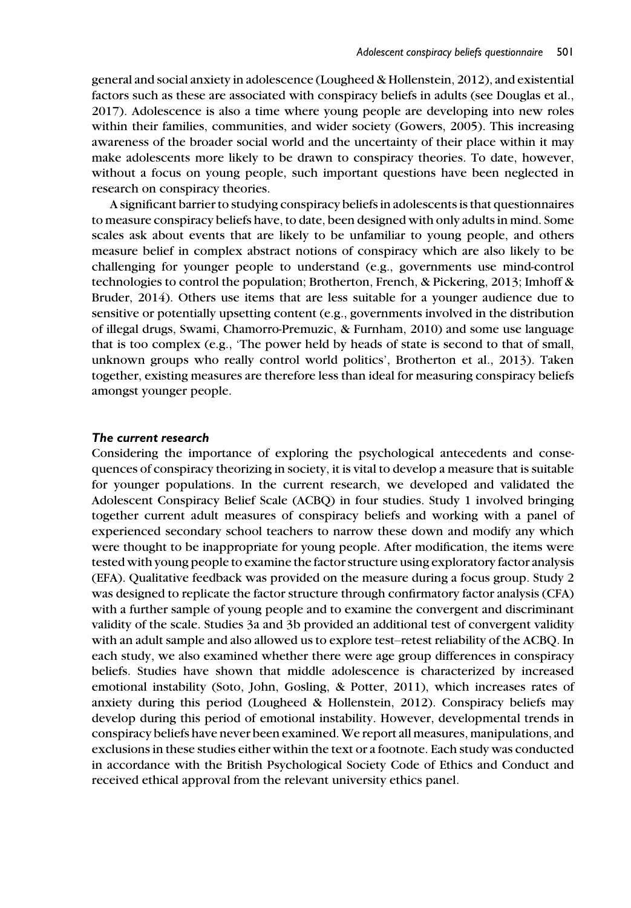general and social anxiety in adolescence (Lougheed & Hollenstein, 2012), and existential factors such as these are associated with conspiracy beliefs in adults (see Douglas et al., 2017). Adolescence is also a time where young people are developing into new roles within their families, communities, and wider society (Gowers, 2005). This increasing awareness of the broader social world and the uncertainty of their place within it may make adolescents more likely to be drawn to conspiracy theories. To date, however, without a focus on young people, such important questions have been neglected in research on conspiracy theories.

A significant barrier to studying conspiracy beliefs in adolescents is that questionnaires to measure conspiracy beliefs have, to date, been designed with only adults in mind. Some scales ask about events that are likely to be unfamiliar to young people, and others measure belief in complex abstract notions of conspiracy which are also likely to be challenging for younger people to understand (e.g., governments use mind-control technologies to control the population; Brotherton, French, & Pickering, 2013; Imhoff & Bruder, 2014). Others use items that are less suitable for a younger audience due to sensitive or potentially upsetting content (e.g., governments involved in the distribution of illegal drugs, Swami, Chamorro-Premuzic, & Furnham, 2010) and some use language that is too complex (e.g., 'The power held by heads of state is second to that of small, unknown groups who really control world politics', Brotherton et al., 2013). Taken together, existing measures are therefore less than ideal for measuring conspiracy beliefs amongst younger people.

#### The current research

Considering the importance of exploring the psychological antecedents and consequences of conspiracy theorizing in society, it is vital to develop a measure that is suitable for younger populations. In the current research, we developed and validated the Adolescent Conspiracy Belief Scale (ACBQ) in four studies. Study 1 involved bringing together current adult measures of conspiracy beliefs and working with a panel of experienced secondary school teachers to narrow these down and modify any which were thought to be inappropriate for young people. After modification, the items were tested with young people to examine the factor structure using exploratory factor analysis (EFA). Qualitative feedback was provided on the measure during a focus group. Study 2 was designed to replicate the factor structure through confirmatory factor analysis (CFA) with a further sample of young people and to examine the convergent and discriminant validity of the scale. Studies 3a and 3b provided an additional test of convergent validity with an adult sample and also allowed us to explore test–retest reliability of the ACBQ. In each study, we also examined whether there were age group differences in conspiracy beliefs. Studies have shown that middle adolescence is characterized by increased emotional instability (Soto, John, Gosling, & Potter, 2011), which increases rates of anxiety during this period (Lougheed & Hollenstein, 2012). Conspiracy beliefs may develop during this period of emotional instability. However, developmental trends in conspiracy beliefs have never been examined. We report all measures, manipulations, and exclusions in these studies either within the text or a footnote. Each study was conducted in accordance with the British Psychological Society Code of Ethics and Conduct and received ethical approval from the relevant university ethics panel.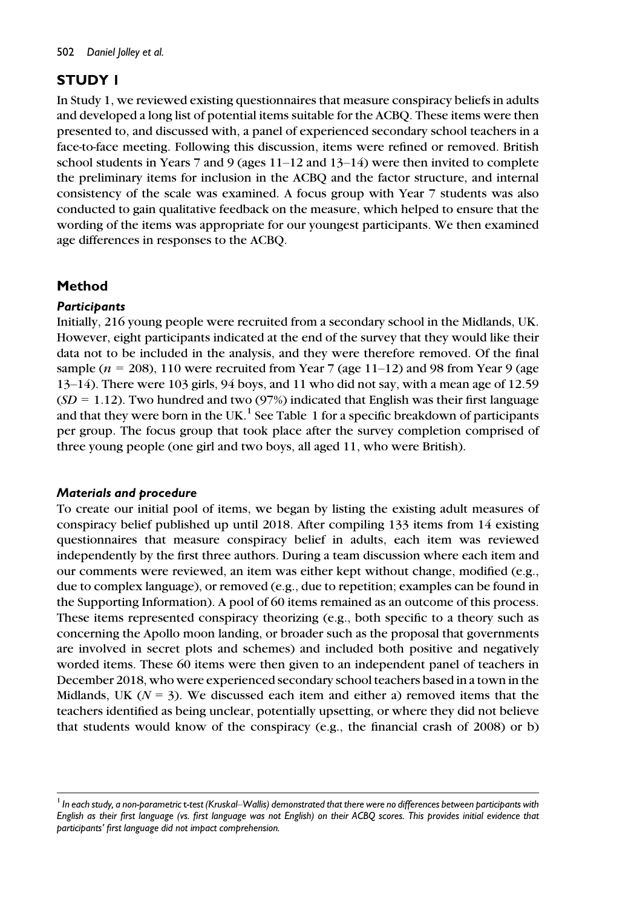# STUDY 1

In Study 1, we reviewed existing questionnaires that measure conspiracy beliefs in adults and developed a long list of potential items suitable for the ACBQ. These items were then presented to, and discussed with, a panel of experienced secondary school teachers in a face-to-face meeting. Following this discussion, items were refined or removed. British school students in Years 7 and 9 (ages 11–12 and 13–14) were then invited to complete the preliminary items for inclusion in the ACBQ and the factor structure, and internal consistency of the scale was examined. A focus group with Year 7 students was also conducted to gain qualitative feedback on the measure, which helped to ensure that the wording of the items was appropriate for our youngest participants. We then examined age differences in responses to the ACBQ.

# Method

# **Participants**

Initially, 216 young people were recruited from a secondary school in the Midlands, UK. However, eight participants indicated at the end of the survey that they would like their data not to be included in the analysis, and they were therefore removed. Of the final sample ( $n = 208$ ), 110 were recruited from Year 7 (age 11–12) and 98 from Year 9 (age 13–14). There were 103 girls, 94 boys, and 11 who did not say, with a mean age of 12.59  $(SD = 1.12)$ . Two hundred and two (97%) indicated that English was their first language and that they were born in the UK.<sup>1</sup> See Table 1 for a specific breakdown of participants per group. The focus group that took place after the survey completion comprised of three young people (one girl and two boys, all aged 11, who were British).

# Materials and procedure

To create our initial pool of items, we began by listing the existing adult measures of conspiracy belief published up until 2018. After compiling 133 items from 14 existing questionnaires that measure conspiracy belief in adults, each item was reviewed independently by the first three authors. During a team discussion where each item and our comments were reviewed, an item was either kept without change, modified (e.g., due to complex language), or removed (e.g., due to repetition; examples can be found in the Supporting Information). A pool of 60 items remained as an outcome of this process. These items represented conspiracy theorizing (e.g., both specific to a theory such as concerning the Apollo moon landing, or broader such as the proposal that governments are involved in secret plots and schemes) and included both positive and negatively worded items. These 60 items were then given to an independent panel of teachers in December 2018, who were experienced secondary school teachers based in a town in the Midlands, UK ( $N = 3$ ). We discussed each item and either a) removed items that the teachers identified as being unclear, potentially upsetting, or where they did not believe that students would know of the conspiracy (e.g., the financial crash of 2008) or b)

 $^1$  In each study, a non-parametric t-test (Kruskal–Wallis) demonstrated that there were no differences between participants with English as their first language (vs. first language was not English) on their ACBQ scores. This provides initial evidence that participants' first language did not impact comprehension.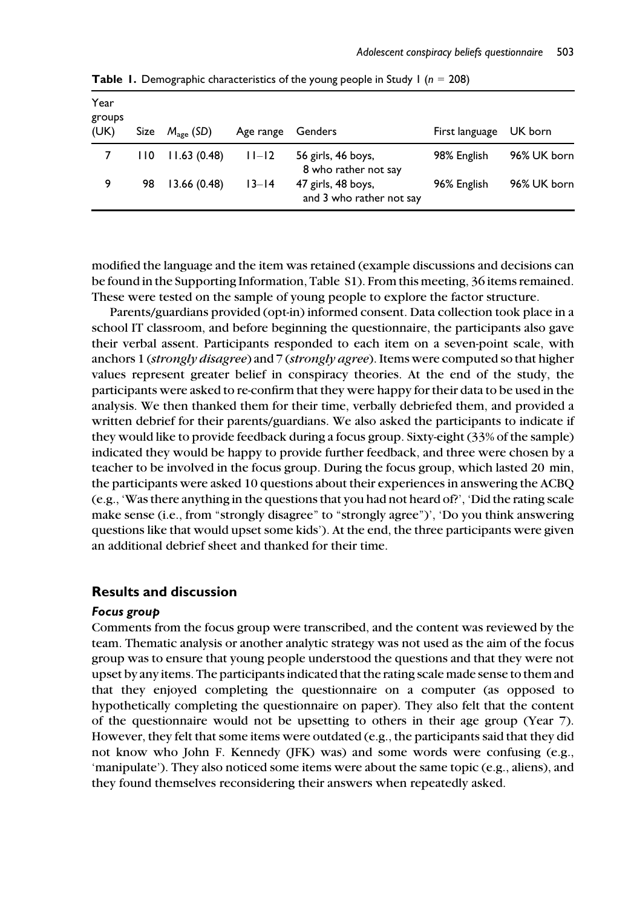| Year<br>groups<br>(UK) | Size | $M_{\text{age}}$ (SD) | Age range | Genders                                        | First language | UK born     |
|------------------------|------|-----------------------|-----------|------------------------------------------------|----------------|-------------|
|                        | 110  | 11.63(0.48)           | $11-12$   | 56 girls, 46 boys,<br>8 who rather not say     | 98% English    | 96% UK born |
| 9                      | 98   | 13.66(0.48)           | $13 - 14$ | 47 girls, 48 boys,<br>and 3 who rather not say | 96% English    | 96% UK born |

**Table 1.** Demographic characteristics of the young people in Study 1 ( $n = 208$ )

modified the language and the item was retained (example discussions and decisions can be found in the Supporting Information, Table S1). From this meeting, 36 items remained. These were tested on the sample of young people to explore the factor structure.

Parents/guardians provided (opt-in) informed consent. Data collection took place in a school IT classroom, and before beginning the questionnaire, the participants also gave their verbal assent. Participants responded to each item on a seven-point scale, with anchors 1 (strongly disagree) and 7 (strongly agree). Items were computed so that higher values represent greater belief in conspiracy theories. At the end of the study, the participants were asked to re-confirm that they were happy for their data to be used in the analysis. We then thanked them for their time, verbally debriefed them, and provided a written debrief for their parents/guardians. We also asked the participants to indicate if they would like to provide feedback during a focus group. Sixty-eight (33% of the sample) indicated they would be happy to provide further feedback, and three were chosen by a teacher to be involved in the focus group. During the focus group, which lasted 20 min, the participants were asked 10 questions about their experiences in answering the ACBQ (e.g., 'Was there anything in the questions that you had not heard of?', 'Did the rating scale make sense (i.e., from "strongly disagree" to "strongly agree")', 'Do you think answering questions like that would upset some kids'). At the end, the three participants were given an additional debrief sheet and thanked for their time.

## Results and discussion

#### Focus group

Comments from the focus group were transcribed, and the content was reviewed by the team. Thematic analysis or another analytic strategy was not used as the aim of the focus group was to ensure that young people understood the questions and that they were not upset by any items. The participants indicated that the rating scale made sense to them and that they enjoyed completing the questionnaire on a computer (as opposed to hypothetically completing the questionnaire on paper). They also felt that the content of the questionnaire would not be upsetting to others in their age group (Year 7). However, they felt that some items were outdated (e.g., the participants said that they did not know who John F. Kennedy (JFK) was) and some words were confusing (e.g., 'manipulate'). They also noticed some items were about the same topic (e.g., aliens), and they found themselves reconsidering their answers when repeatedly asked.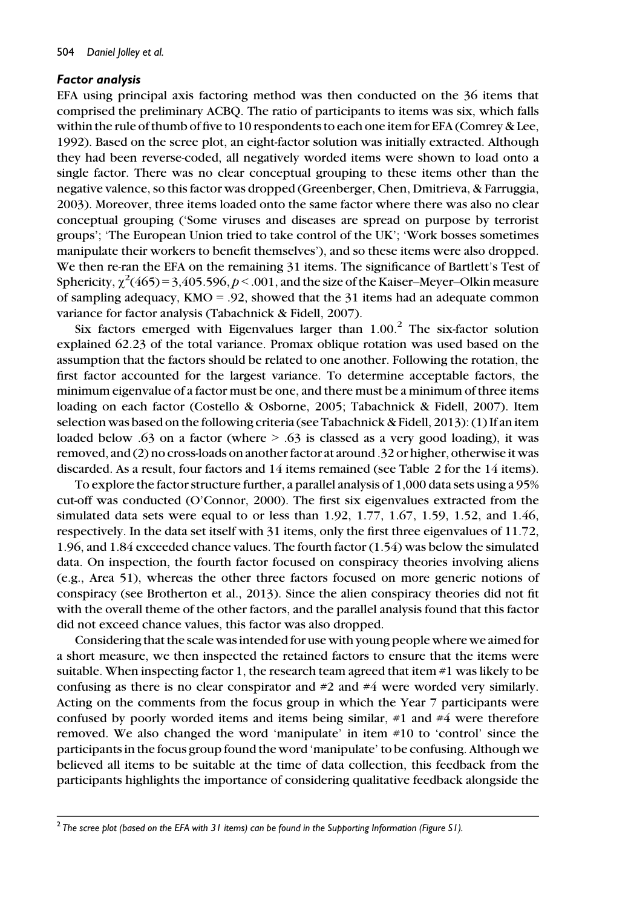#### Factor analysis

EFA using principal axis factoring method was then conducted on the 36 items that comprised the preliminary ACBQ. The ratio of participants to items was six, which falls within the rule of thumb of five to 10 respondents to each one item for EFA (Comrey & Lee, 1992). Based on the scree plot, an eight-factor solution was initially extracted. Although they had been reverse-coded, all negatively worded items were shown to load onto a single factor. There was no clear conceptual grouping to these items other than the negative valence, so this factor was dropped (Greenberger, Chen, Dmitrieva, & Farruggia, 2003). Moreover, three items loaded onto the same factor where there was also no clear conceptual grouping ('Some viruses and diseases are spread on purpose by terrorist groups'; 'The European Union tried to take control of the UK'; 'Work bosses sometimes manipulate their workers to benefit themselves'), and so these items were also dropped. We then re-ran the EFA on the remaining 31 items. The significance of Bartlett's Test of Sphericity,  $\chi^2(465)$  = 3,405.596, p < .001, and the size of the Kaiser–Meyer–Olkin measure of sampling adequacy,  $KMO = .92$ , showed that the 31 items had an adequate common variance for factor analysis (Tabachnick & Fidell, 2007).

Six factors emerged with Eigenvalues larger than  $1.00<sup>2</sup>$  The six-factor solution explained 62.23 of the total variance. Promax oblique rotation was used based on the assumption that the factors should be related to one another. Following the rotation, the first factor accounted for the largest variance. To determine acceptable factors, the minimum eigenvalue of a factor must be one, and there must be a minimum of three items loading on each factor (Costello & Osborne, 2005; Tabachnick & Fidell, 2007). Item selection was based on the following criteria (see Tabachnick & Fidell, 2013): (1) If an item loaded below .63 on a factor (where  $> 0.63$  is classed as a very good loading), it was removed, and (2) no cross-loads on another factor at around .32 or higher, otherwise it was discarded. As a result, four factors and 14 items remained (see Table 2 for the 14 items).

To explore the factor structure further, a parallel analysis of 1,000 data sets using a 95% cut-off was conducted (O'Connor, 2000). The first six eigenvalues extracted from the simulated data sets were equal to or less than  $1.92, 1.77, 1.67, 1.59, 1.52,$  and  $1.46$ , respectively. In the data set itself with 31 items, only the first three eigenvalues of 11.72, 1.96, and 1.84 exceeded chance values. The fourth factor (1.54) was below the simulated data. On inspection, the fourth factor focused on conspiracy theories involving aliens (e.g., Area 51), whereas the other three factors focused on more generic notions of conspiracy (see Brotherton et al., 2013). Since the alien conspiracy theories did not fit with the overall theme of the other factors, and the parallel analysis found that this factor did not exceed chance values, this factor was also dropped.

Considering that the scale was intended for use with young people where we aimed for a short measure, we then inspected the retained factors to ensure that the items were suitable. When inspecting factor 1, the research team agreed that item  $\#1$  was likely to be confusing as there is no clear conspirator and #2 and #4 were worded very similarly. Acting on the comments from the focus group in which the Year 7 participants were confused by poorly worded items and items being similar, #1 and #4 were therefore removed. We also changed the word 'manipulate' in item #10 to 'control' since the participants in the focus group found the word 'manipulate' to be confusing. Although we believed all items to be suitable at the time of data collection, this feedback from the participants highlights the importance of considering qualitative feedback alongside the

 $2$  The scree plot (based on the EFA with 31 items) can be found in the Supporting Information (Figure S1).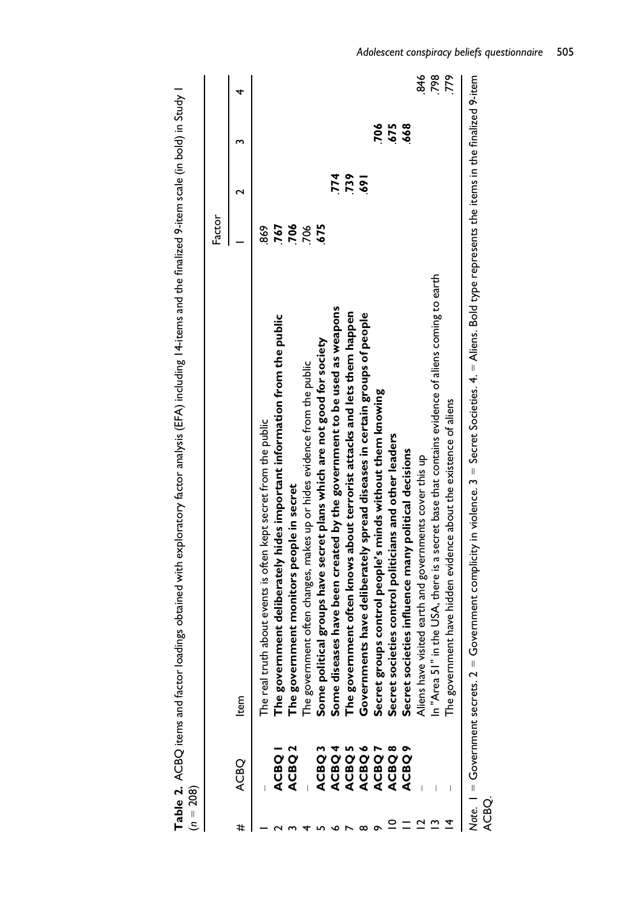|   |                                        |                                                                                                                                 | Factor     |     |            |      |
|---|----------------------------------------|---------------------------------------------------------------------------------------------------------------------------------|------------|-----|------------|------|
| # | <b>OBO</b>                             | ltem                                                                                                                            |            |     |            | 4    |
|   |                                        | h about events is often kept secret from the public<br>The real trut                                                            | 869        |     |            |      |
|   | <b>ACBO</b>                            | The government deliberately hides important information from the public $\,$                                                    | <b>767</b> |     |            |      |
|   | <b>ACBO</b>                            | The government monitors people in secret                                                                                        | 706        |     |            |      |
|   |                                        | The government often changes, makes up or hides evidence from the public                                                        | 706        |     |            |      |
|   | ACBQ <sub>3</sub>                      | Some political groups have secret plans which are not good for society                                                          | 675        |     |            |      |
|   | ACBQ 4                                 | Some diseases have been created by the government to be used as weapons                                                         |            | 774 |            |      |
|   | ACBQ 5                                 | The government often knows about terrorist attacks and lets them happen                                                         |            | 739 |            |      |
|   | ACBQ6                                  | Governments have deliberately spread diseases in certain groups of people                                                       |            | 591 |            |      |
|   | ACBQ.                                  | Secret groups control people's minds without them knowing                                                                       |            |     |            |      |
|   | ACBQ 8                                 | eties control politicians and other leaders<br>Secret soci                                                                      |            |     | 706<br>575 |      |
|   | <b>ACBO9</b>                           | eties influence many political decisions<br>Secret soci                                                                         |            |     | 668        |      |
|   |                                        | isited earth and governments cover this up<br>Aliens have v                                                                     |            |     |            | 846  |
|   |                                        | in the USA, there is a secret base that contains evidence of aliens coming to earth<br>In "Area 51"                             |            |     |            | .798 |
|   |                                        | The government have hidden evidence about the existence of aliens                                                               |            |     |            | 779  |
|   | Note. $I = G$ overnment secrets. $2 =$ | Government complicity in violence. $3 =$ Secret Societies. $4 =$ Aliens. Bold type represents the items in the finalized 9-item |            |     |            |      |

Table 2. ACBQ items and factor loadings obtained with exploratory factor analysis (EFA) including 14-items and the finalized 9-item scale (in bold) in Study 1 **Table 2.** ACBQ items and factor loadings obtained with exploratory factor analysis (EFA) including 14-items and the finalized 9-item scale (in bold) in Study 1<br>(n = 208)

ACBQ.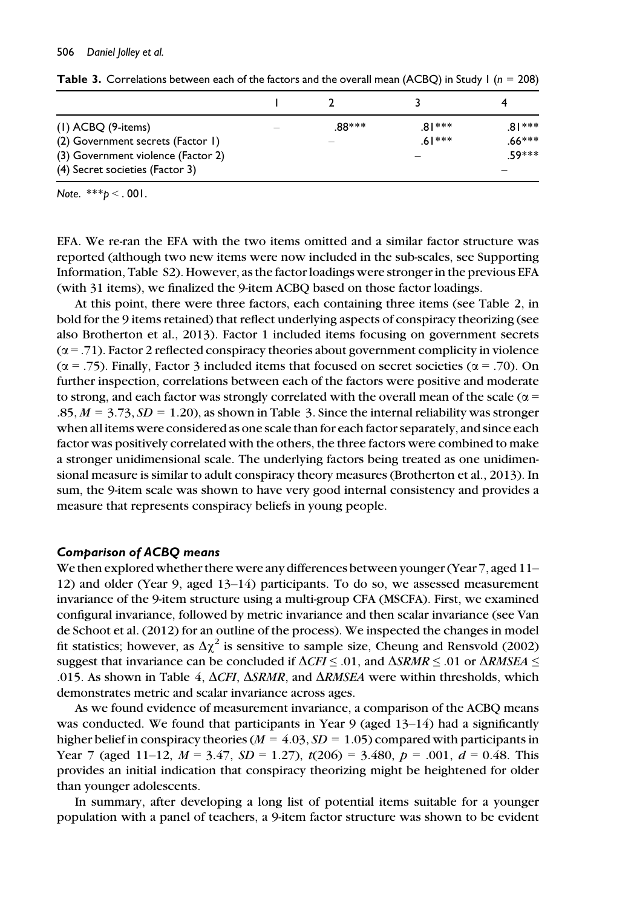| $(1)$ ACBQ $(9$ -items)                                               | .88*** | $81***$  | $81***$  |
|-----------------------------------------------------------------------|--------|----------|----------|
| (2) Government secrets (Factor 1)                                     |        | $.61***$ | $.66***$ |
| (3) Government violence (Factor 2)<br>(4) Secret societies (Factor 3) |        |          | 59***    |
|                                                                       |        |          |          |

**Table 3.** Correlations between each of the factors and the overall mean (ACBQ) in Study 1 ( $n = 208$ )

Note.  $***b < .001$ .

EFA. We re-ran the EFA with the two items omitted and a similar factor structure was reported (although two new items were now included in the sub-scales, see Supporting Information, Table S2). However, as the factor loadings were stronger in the previous EFA (with 31 items), we finalized the 9-item ACBQ based on those factor loadings.

At this point, there were three factors, each containing three items (see Table 2, in bold for the 9 items retained) that reflect underlying aspects of conspiracy theorizing (see also Brotherton et al., 2013). Factor 1 included items focusing on government secrets  $(\alpha = .71)$ . Factor 2 reflected conspiracy theories about government complicity in violence  $(\alpha = .75)$ . Finally, Factor 3 included items that focused on secret societies ( $\alpha = .70$ ). On further inspection, correlations between each of the factors were positive and moderate to strong, and each factor was strongly correlated with the overall mean of the scale ( $\alpha$  =  $.85, M = 3.73, SD = 1.20$ , as shown in Table 3. Since the internal reliability was stronger when all items were considered as one scale than for each factor separately, and since each factor was positively correlated with the others, the three factors were combined to make a stronger unidimensional scale. The underlying factors being treated as one unidimensional measure is similar to adult conspiracy theory measures (Brotherton et al., 2013). In sum, the 9-item scale was shown to have very good internal consistency and provides a measure that represents conspiracy beliefs in young people.

#### Comparison of ACBQ means

We then explored whether there were any differences between younger (Year 7, aged 11– 12) and older (Year 9, aged 13–14) participants. To do so, we assessed measurement invariance of the 9-item structure using a multi-group CFA (MSCFA). First, we examined configural invariance, followed by metric invariance and then scalar invariance (see Van de Schoot et al. (2012) for an outline of the process). We inspected the changes in model fit statistics; however, as  $\Delta \chi^2$  is sensitive to sample size, Cheung and Rensvold (2002) suggest that invariance can be concluded if  $\Delta CFI \leq .01$ , and  $\Delta SRMR \leq .01$  or  $\Delta RMSEA \leq$ .015. As shown in Table 4,  $\Delta$ CFI,  $\Delta$ SRMR, and  $\Delta$ RMSEA were within thresholds, which demonstrates metric and scalar invariance across ages.

As we found evidence of measurement invariance, a comparison of the ACBQ means was conducted. We found that participants in Year 9 (aged  $13-14$ ) had a significantly higher belief in conspiracy theories ( $M = 4.03$ ,  $SD = 1.05$ ) compared with participants in Year 7 (aged 11–12,  $M = 3.47$ ,  $SD = 1.27$ ),  $t(206) = 3.480$ ,  $p = .001$ ,  $d = 0.48$ . This provides an initial indication that conspiracy theorizing might be heightened for older than younger adolescents.

In summary, after developing a long list of potential items suitable for a younger population with a panel of teachers, a 9-item factor structure was shown to be evident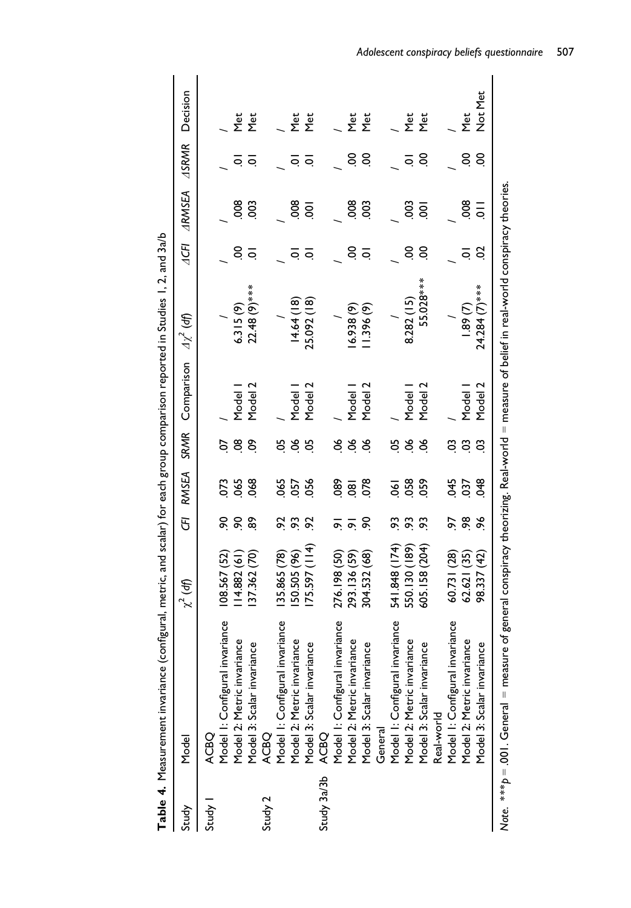|             | <b>2.2012(1,4,6) http://www.com/community.com/community.com/community.com/community.com/community.com/community.com/community.com/community.com/community.com/community.com/community.com/c</b> |                     |                      |                |          |            |               |                |                    |              |                 |
|-------------|-------------------------------------------------------------------------------------------------------------------------------------------------------------------------------------------------|---------------------|----------------------|----------------|----------|------------|---------------|----------------|--------------------|--------------|-----------------|
| Study       | Model                                                                                                                                                                                           | $\chi^2$ (df)       | 5                    | <b>RMSEA</b>   | SRMR     | Comparison | $4x^2$ (df)   | 4CFI           | <b>ARMSEA</b>      | <b>ASRMR</b> | Decision        |
| Study       | <b>ACBO</b>                                                                                                                                                                                     |                     |                      |                |          |            |               |                |                    |              |                 |
|             | Model I: Configural invariance                                                                                                                                                                  | 108.567 (52)        | ୡ                    | 073            | ρÓ       |            |               |                |                    |              |                 |
|             | Model 2: Metric invariance                                                                                                                                                                      | 14.882(61)          | $\overline{6}$       | 065            | g        | Model I    | 6.315(9)      | S              | $\frac{80}{2}$     | ج            | Σe<br>Σ         |
|             | ပ္ပ<br>Model 3: Scalar invarian                                                                                                                                                                 | 37.362 (70)         | ଛ                    | 068            | န္       | Model 2    | 22.48 (9) *** | $\circ$        | $\frac{3}{2}$      | $\circ$      | λ<br>Σ          |
| Study 2     | ACBQ                                                                                                                                                                                            |                     |                      |                |          |            |               |                |                    |              |                 |
|             | Model I: Configural invariance                                                                                                                                                                  | 35.865 (78)         | ઝ                    | 065            | ర్ష      |            |               |                |                    |              |                 |
|             | Model 2: Metric invariance                                                                                                                                                                      | 50.505 (96)         | $\mathfrak{S}$       | 057            | 8        | Model      | 4.64 (18)     | ج              | $\frac{80}{5}$     | Q            | Σe<br>Σ         |
|             | ပ္ပ<br>Model 3: Scalar invarian                                                                                                                                                                 | (+)<br>コー<br>75.597 | S,                   | 056            | ర        | Model 2    | 25.092 (18)   | $\circ$        | $\overline{5}$     | جَ           | λ<br>Σ          |
| Study 3a/3b | <b>ACBO</b>                                                                                                                                                                                     |                     |                      |                |          |            |               |                |                    |              |                 |
|             | Model I: Configural invariance                                                                                                                                                                  | 276.198 (50)        | ᢛ                    | 89             | క        |            |               |                |                    |              |                 |
|             | Model 2: Metric invariance                                                                                                                                                                      | 293.136 (59)        | $\overline{\bullet}$ | $\overline{8}$ | $\infty$ | Model      | 6.938 (9)     | S              | $\frac{80}{5}$     | S            | <b>Met</b>      |
|             | ပ္ပ<br>Model 3: Scalar invarian                                                                                                                                                                 | 304.532 (68)        | ୡ                    | 078            | 8        | Model 2    | 1.396(9)      | $\overline{Q}$ | $\overline{0}$     | S            | N <sub>et</sub> |
|             | General                                                                                                                                                                                         |                     |                      |                |          |            |               |                |                    |              |                 |
|             | Model I: Configural invariance                                                                                                                                                                  | 541.848 (174)       | င္လ                  | ड              | వ        |            |               |                |                    |              |                 |
|             | Model 2: Metric invariance                                                                                                                                                                      | (189)<br>550.130    | S.                   | 058            | 8        | Model      | 8.282 (15)    | S              | $\frac{3}{2}$      | ج            | Σ<br>Σ          |
|             | ပ္ပ<br>Model 3: Scalar invarian                                                                                                                                                                 | 605.158 (204)       | S.                   | 059            | 8        | Model 2    | 55.028***     | S              | 8                  | S            | λ<br>Σ          |
|             | Real-world                                                                                                                                                                                      |                     |                      |                |          |            |               |                |                    |              |                 |
|             | Model I: Configural invariance                                                                                                                                                                  | 60.731 (28)         | 56                   | 345            | SO       |            |               |                |                    |              |                 |
|             | Model 2: Metric invariance                                                                                                                                                                      | 62.621 (35)         | 8                    | 037            | S.       | Model      | 1.89(7)       | ē              | 80o                | S            | Met             |
|             | ပ္ပ<br>Model 3: Scalar invarian                                                                                                                                                                 | 98.337 (42)         | æ                    | <b>980</b>     | 3        | Model 2    | 24.284 (7)*** | S              | $\overline{\circ}$ | S            | Not Met         |
|             | Note. ***p = .001. General = measure of general conspiracy theorizing. Real-world = measure of belief in real-world conspiracy theories.                                                        |                     |                      |                |          |            |               |                |                    |              |                 |

Table 4. Measurement invariance (configural, metric, and scalar) for each group comparison reported in Studies  $\vert$ , 2, and 3a/b  $\sf Table\ 4.$  Measurement invariance (configural, metric, and scalar) for each group comparison reported in Studies  $\sf I,2$ , and 3a/b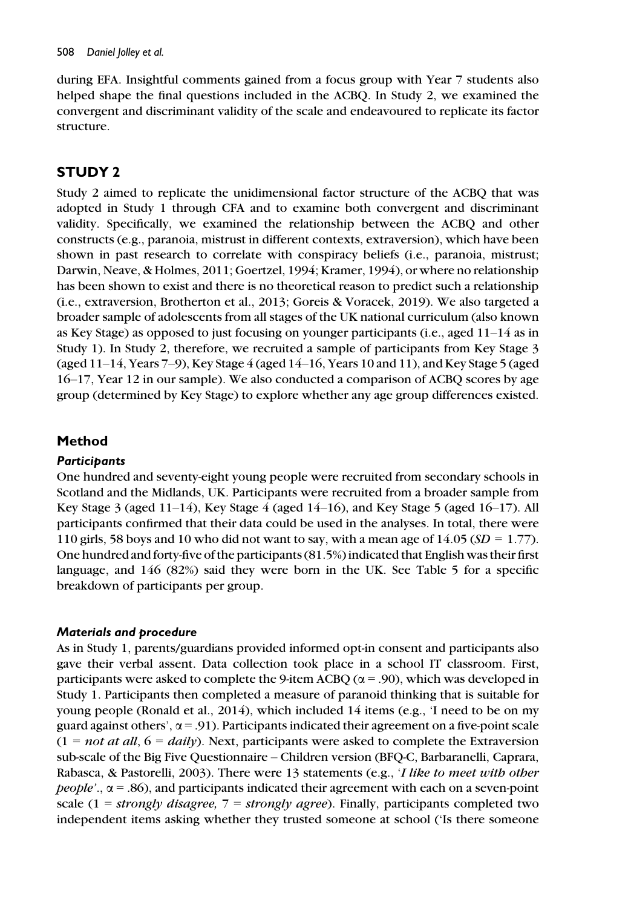during EFA. Insightful comments gained from a focus group with Year 7 students also helped shape the final questions included in the ACBQ. In Study 2, we examined the convergent and discriminant validity of the scale and endeavoured to replicate its factor structure.

# STUDY 2

Study 2 aimed to replicate the unidimensional factor structure of the ACBQ that was adopted in Study 1 through CFA and to examine both convergent and discriminant validity. Specifically, we examined the relationship between the ACBQ and other constructs (e.g., paranoia, mistrust in different contexts, extraversion), which have been shown in past research to correlate with conspiracy beliefs (i.e., paranoia, mistrust; Darwin, Neave, & Holmes, 2011; Goertzel, 1994; Kramer, 1994), or where no relationship has been shown to exist and there is no theoretical reason to predict such a relationship (i.e., extraversion, Brotherton et al., 2013; Goreis & Voracek, 2019). We also targeted a broader sample of adolescents from all stages of the UK national curriculum (also known as Key Stage) as opposed to just focusing on younger participants (i.e., aged 11–14 as in Study 1). In Study 2, therefore, we recruited a sample of participants from Key Stage 3 (aged  $11-14$ , Years  $7-9$ ), Key Stage  $4$  (aged  $14-16$ , Years 10 and 11), and Key Stage 5 (aged 16–17, Year 12 in our sample). We also conducted a comparison of ACBQ scores by age group (determined by Key Stage) to explore whether any age group differences existed.

# Method

## **Participants**

One hundred and seventy-eight young people were recruited from secondary schools in Scotland and the Midlands, UK. Participants were recruited from a broader sample from Key Stage 3 (aged 11–14), Key Stage 4 (aged 14–16), and Key Stage 5 (aged 16–17). All participants confirmed that their data could be used in the analyses. In total, there were 110 girls, 58 boys and 10 who did not want to say, with a mean age of 14.05 ( $SD = 1.77$ ). One hundred and forty-five of the participants (81.5%) indicated that English was their first language, and 146 (82%) said they were born in the UK. See Table 5 for a specific breakdown of participants per group.

#### Materials and procedure

As in Study 1, parents/guardians provided informed opt-in consent and participants also gave their verbal assent. Data collection took place in a school IT classroom. First, participants were asked to complete the 9-item ACBQ ( $\alpha$  = .90), which was developed in Study 1. Participants then completed a measure of paranoid thinking that is suitable for young people (Ronald et al., 2014), which included 14 items (e.g.,  $\dot{\rm{I}}$  need to be on my guard against others',  $\alpha$  = .91). Participants indicated their agreement on a five-point scale  $(1 = not at all, 6 = daily)$ . Next, participants were asked to complete the Extraversion sub-scale of the Big Five Questionnaire – Children version (BFQ-C, Barbaranelli, Caprara, Rabasca, & Pastorelli, 2003). There were 13 statements (e.g., 'I like to meet with other *people'..*  $\alpha$  = .86), and participants indicated their agreement with each on a seven-point scale (1 = strongly disagree, 7 = strongly agree). Finally, participants completed two independent items asking whether they trusted someone at school ('Is there someone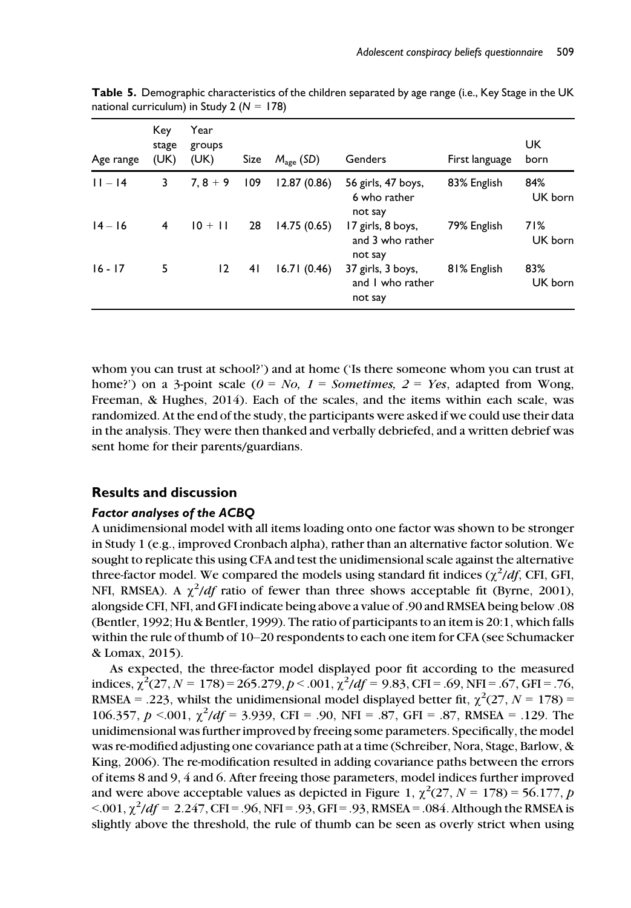| Age range | Key<br>stage<br>(UK) | Year<br>groups<br>(UK) | Size | $M_{\text{age}}$ (SD) | Genders                                          | First language | UK<br>born     |
|-----------|----------------------|------------------------|------|-----------------------|--------------------------------------------------|----------------|----------------|
| $11 - 14$ | 3                    | $7.8 + 9$              | 109  | 12.87(0.86)           | 56 girls, 47 boys,<br>6 who rather<br>not say    | 83% English    | 84%<br>UK born |
| $14 - 16$ | 4                    | $10 + 11$              | 28   | 14.75(0.65)           | 17 girls, 8 boys,<br>and 3 who rather<br>not say | 79% English    | 71%<br>UK born |
| $16 - 17$ | 5                    | 12                     | 41   | 16.71(0.46)           | 37 girls, 3 boys,<br>and I who rather<br>not say | 81% English    | 83%<br>UK born |

Table 5. Demographic characteristics of the children separated by age range (i.e., Key Stage in the UK national curriculum) in Study 2 ( $N = 178$ )

whom you can trust at school?') and at home ('Is there someone whom you can trust at home?') on a 3-point scale ( $0 = No$ ,  $1 = Sometimes$ ,  $2 = Yes$ , adapted from Wong, Freeman, & Hughes, 2014). Each of the scales, and the items within each scale, was randomized. At the end of the study, the participants were asked if we could use their data in the analysis. They were then thanked and verbally debriefed, and a written debrief was sent home for their parents/guardians.

#### Results and discussion

#### Factor analyses of the ACBQ

A unidimensional model with all items loading onto one factor was shown to be stronger in Study 1 (e.g., improved Cronbach alpha), rather than an alternative factor solution. We sought to replicate this using CFA and test the unidimensional scale against the alternative three-factor model. We compared the models using standard fit indices  $(\chi^2/df)$ , CFI, GFI, NFI, RMSEA). A  $\chi^2/df$  ratio of fewer than three shows acceptable fit (Byrne, 2001), alongside CFI, NFI, and GFI indicate being above a value of .90 and RMSEA being below .08 (Bentler, 1992; Hu & Bentler, 1999). The ratio of participants to an item is 20:1, which falls within the rule of thumb of 10–20 respondents to each one item for CFA (see Schumacker & Lomax, 2015).

As expected, the three-factor model displayed poor fit according to the measured indices,  $\chi^2$ (27, N = 178) = 265.279, p < .001,  $\chi^2/df = 9.83$ , CFI = .69, NFI = .67, GFI = .76, RMSEA = .223, whilst the unidimensional model displayed better fit,  $\chi^2$ (27, N = 178) = 106.357,  $p < 0.01$ ,  $\chi^2/df = 3.939$ , CFI = .90, NFI = .87, GFI = .87, RMSEA = .129. The unidimensional was further improved by freeing some parameters. Specifically, the model was re-modified adjusting one covariance path at a time (Schreiber, Nora, Stage, Barlow, & King, 2006). The re-modification resulted in adding covariance paths between the errors of items 8 and 9, 4 and 6. After freeing those parameters, model indices further improved and were above acceptable values as depicted in Figure 1,  $\chi^2$ (27, N = 178) = 56.177, p  $< 0.001$ ,  $\chi^2/df = 2.247$ , CFI = .96, NFI = .93, GFI = .93, RMSEA = .084. Although the RMSEA is slightly above the threshold, the rule of thumb can be seen as overly strict when using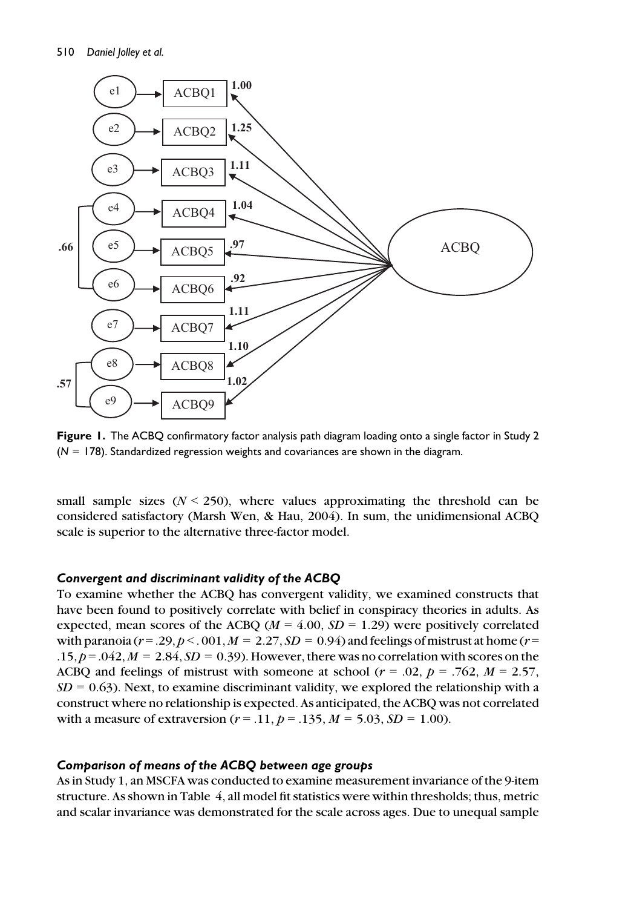

Figure 1. The ACBQ confirmatory factor analysis path diagram loading onto a single factor in Study 2  $(N = 178)$ . Standardized regression weights and covariances are shown in the diagram.

small sample sizes  $(N < 250)$ , where values approximating the threshold can be considered satisfactory (Marsh Wen, & Hau, 2004). In sum, the unidimensional ACBQ scale is superior to the alternative three-factor model.

#### Convergent and discriminant validity of the ACBQ

To examine whether the ACBQ has convergent validity, we examined constructs that have been found to positively correlate with belief in conspiracy theories in adults. As expected, mean scores of the ACBQ ( $M = 4.00$ ,  $SD = 1.29$ ) were positively correlated with paranoia ( $r = 0.29$ ,  $p < 0.01$ ,  $M = 2.27$ ,  $SD = 0.94$ ) and feelings of mistrust at home ( $r =$ .15,  $p = 0.042$ ,  $M = 2.84$ ,  $SD = 0.39$ ). However, there was no correlation with scores on the ACBQ and feelings of mistrust with someone at school ( $r = .02$ ,  $p = .762$ ,  $M = 2.57$ ,  $SD = 0.63$ ). Next, to examine discriminant validity, we explored the relationship with a construct where no relationship is expected. As anticipated, the ACBQ was not correlated with a measure of extraversion ( $r = .11$ ,  $p = .135$ ,  $M = 5.03$ ,  $SD = 1.00$ ).

#### Comparison of means of the ACBQ between age groups

As in Study 1, an MSCFA was conducted to examine measurement invariance of the 9-item structure. As shown in Table 4, all model fit statistics were within thresholds; thus, metric and scalar invariance was demonstrated for the scale across ages. Due to unequal sample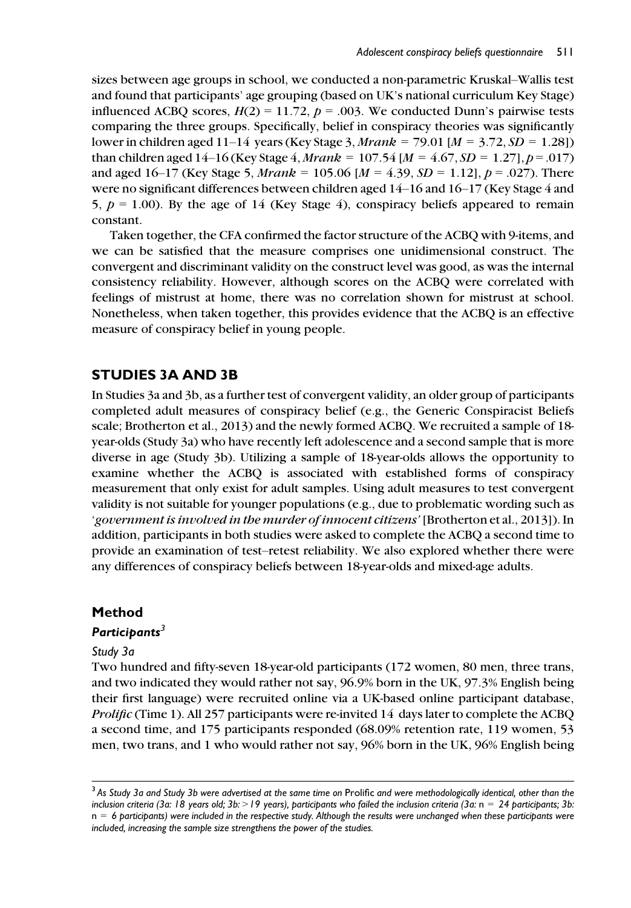sizes between age groups in school, we conducted a non-parametric Kruskal–Wallis test and found that participants' age grouping (based on UK's national curriculum Key Stage) influenced ACBQ scores,  $H(2) = 11.72$ ,  $p = .003$ . We conducted Dunn's pairwise tests comparing the three groups. Specifically, belief in conspiracy theories was significantly lower in children aged 11–14 years (Key Stage 3, *Mrank* = 79.01 [ $M = 3.72$ ,  $SD = 1.28$ ]) than children aged 14–16 (Key Stage 4, *Mrank* = 107.54 [ $M = 4.67$ ,  $SD = 1.27$ ],  $p = .017$ ) and aged 16–17 (Key Stage 5, *Mrank* = 105.06 [ $M = 4.39$ ,  $SD = 1.12$ ],  $p = .027$ ). There were no significant differences between children aged 14–16 and 16–17 (Key Stage 4 and 5,  $p = 1.00$ ). By the age of 14 (Key Stage 4), conspiracy beliefs appeared to remain constant.

Taken together, the CFA confirmed the factor structure of the ACBQ with 9-items, and we can be satisfied that the measure comprises one unidimensional construct. The convergent and discriminant validity on the construct level was good, as was the internal consistency reliability. However, although scores on the ACBQ were correlated with feelings of mistrust at home, there was no correlation shown for mistrust at school. Nonetheless, when taken together, this provides evidence that the ACBQ is an effective measure of conspiracy belief in young people.

# STUDIES 3A AND 3B

In Studies 3a and 3b, as a further test of convergent validity, an older group of participants completed adult measures of conspiracy belief (e.g., the Generic Conspiracist Beliefs scale; Brotherton et al., 2013) and the newly formed ACBQ. We recruited a sample of 18 year-olds (Study 3a) who have recently left adolescence and a second sample that is more diverse in age (Study 3b). Utilizing a sample of 18-year-olds allows the opportunity to examine whether the ACBQ is associated with established forms of conspiracy measurement that only exist for adult samples. Using adult measures to test convergent validity is not suitable for younger populations (e.g., due to problematic wording such as 'government is involved in the murder of innocent citizens'[Brotherton et al., 2013]). In addition, participants in both studies were asked to complete the ACBQ a second time to provide an examination of test–retest reliability. We also explored whether there were any differences of conspiracy beliefs between 18-year-olds and mixed-age adults.

#### Method

#### Participants $3$

#### Study 3a

Two hundred and fifty-seven 18-year-old participants (172 women, 80 men, three trans, and two indicated they would rather not say, 96.9% born in the UK, 97.3% English being their first language) were recruited online via a UK-based online participant database, Prolific (Time 1). All 257 participants were re-invited 14 days later to complete the ACBQ a second time, and 175 participants responded (68.09% retention rate, 119 women, 53 men, two trans, and 1 who would rather not say, 96% born in the UK, 96% English being

<sup>&</sup>lt;sup>3</sup> As Study 3a and Study 3b were advertised at the same time on Prolific and were methodologically identical, other than the inclusion criteria (3a: 18 years old; 3b: > 19 years), participants who failed the inclusion criteria (3a:  $n = 24$  participants; 3b:  $n = 6$  participants) were included in the respective study. Although the results were unchanged when these participants were included, increasing the sample size strengthens the power of the studies.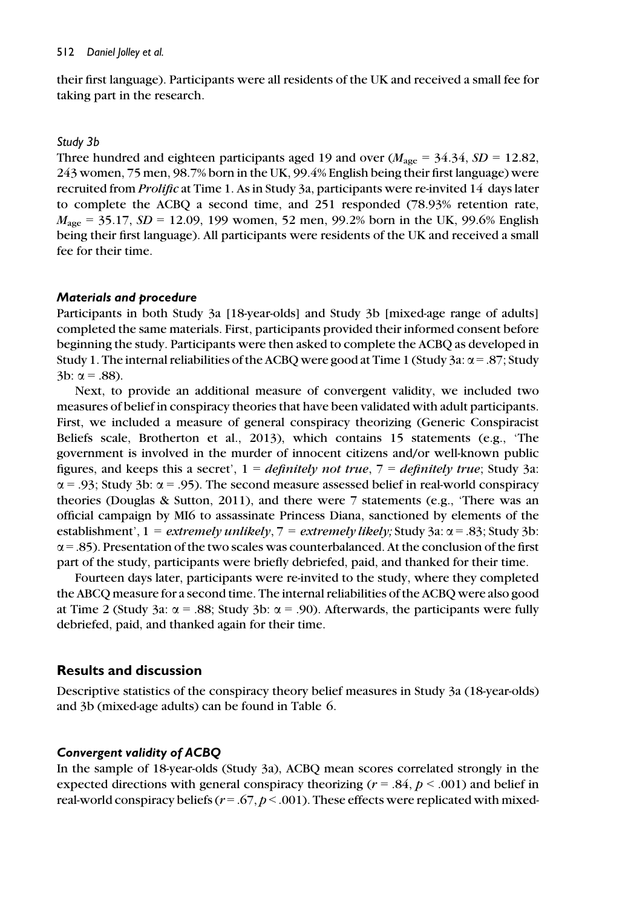their first language). Participants were all residents of the UK and received a small fee for taking part in the research.

#### Study 3b

Three hundred and eighteen participants aged 19 and over  $(M_{\text{age}} = 34.34, SD = 12.82,$ 243 women, 75 men, 98.7% born in the UK, 99.4% English being their first language) were recruited from Prolific at Time 1. As in Study 3a, participants were re-invited 14 days later to complete the ACBQ a second time, and 251 responded (78.93% retention rate,  $M_{\text{age}} = 35.17$ ,  $SD = 12.09$ , 199 women, 52 men, 99.2% born in the UK, 99.6% English being their first language). All participants were residents of the UK and received a small fee for their time.

## Materials and procedure

Participants in both Study 3a [18-year-olds] and Study 3b [mixed-age range of adults] completed the same materials. First, participants provided their informed consent before beginning the study. Participants were then asked to complete the ACBQ as developed in Study 1. The internal reliabilities of the ACBQ were good at Time 1 (Study 3a:  $\alpha$  = .87; Study 3b:  $\alpha = .88$ ).

Next, to provide an additional measure of convergent validity, we included two measures of belief in conspiracy theories that have been validated with adult participants. First, we included a measure of general conspiracy theorizing (Generic Conspiracist Beliefs scale, Brotherton et al., 2013), which contains 15 statements (e.g., 'The government is involved in the murder of innocent citizens and/or well-known public figures, and keeps this a secret',  $1 = \text{definitely not true}, 7 = \text{definitely true};$  Study 3a:  $\alpha$  = .93; Study 3b:  $\alpha$  = .95). The second measure assessed belief in real-world conspiracy theories (Douglas & Sutton, 2011), and there were 7 statements (e.g., 'There was an official campaign by MI6 to assassinate Princess Diana, sanctioned by elements of the establishment',  $1 = \text{extremely}$  unlikely,  $7 = \text{extremely}$  likely; Study 3a:  $\alpha = .83$ ; Study 3b:  $\alpha$  = .85). Presentation of the two scales was counterbalanced. At the conclusion of the first part of the study, participants were briefly debriefed, paid, and thanked for their time.

Fourteen days later, participants were re-invited to the study, where they completed the ABCQ measure for a second time. The internal reliabilities of the ACBQ were also good at Time 2 (Study 3a:  $\alpha$  = .88; Study 3b:  $\alpha$  = .90). Afterwards, the participants were fully debriefed, paid, and thanked again for their time.

# Results and discussion

Descriptive statistics of the conspiracy theory belief measures in Study 3a (18-year-olds) and 3b (mixed-age adults) can be found in Table 6.

# Convergent validity of ACBQ

In the sample of 18-year-olds (Study 3a), ACBQ mean scores correlated strongly in the expected directions with general conspiracy theorizing ( $r = .84$ ,  $p < .001$ ) and belief in real-world conspiracy beliefs ( $r = .67$ ,  $p < .001$ ). These effects were replicated with mixed-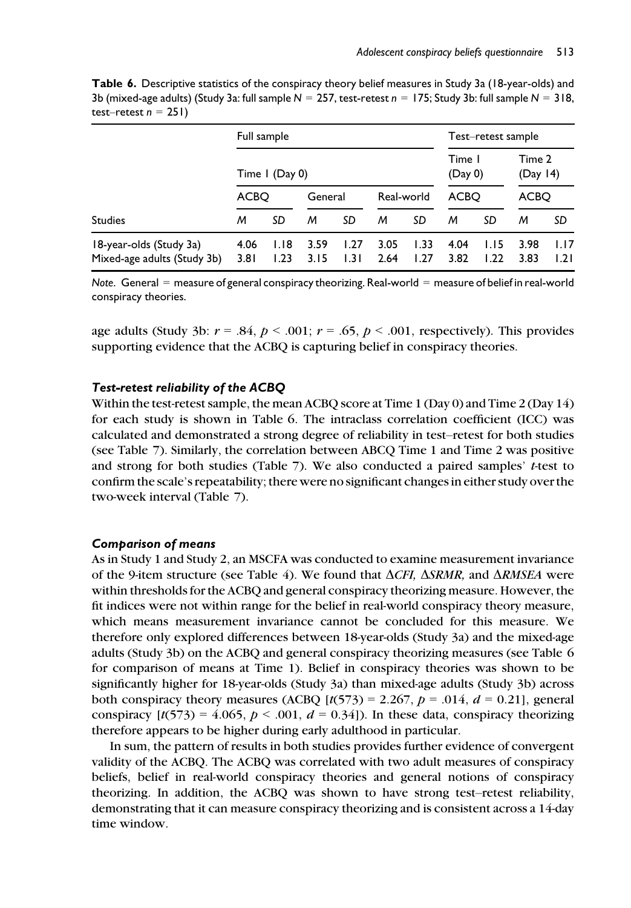Table 6. Descriptive statistics of the conspiracy theory belief measures in Study 3a (18-year-olds) and 3b (mixed-age adults) (Study 3a: full sample  $N = 257$ , test-retest  $n = 175$ ; Study 3b: full sample  $N = 318$ , test–retest  $n = 251$ )

|                                                        | Full sample  |                |              |              |              |              |                   | Test-retest sample |                    |              |
|--------------------------------------------------------|--------------|----------------|--------------|--------------|--------------|--------------|-------------------|--------------------|--------------------|--------------|
|                                                        |              | Time I (Day 0) |              |              |              |              | Time I<br>(Day 0) |                    | Time 2<br>(Day 14) |              |
|                                                        | ACBO         |                | General      |              | Real-world   |              | <b>ACBO</b>       |                    | <b>ACBO</b>        |              |
| <b>Studies</b>                                         | м            | SD             | м            | SD           | м            | SD           | м                 | SD                 | м                  | SD           |
| 18-year-olds (Study 3a)<br>Mixed-age adults (Study 3b) | 4.06<br>3.81 | 1.18<br>1.23   | 3.59<br>3.15 | 1.27<br>1.31 | 3.05<br>2.64 | 1.33<br>1.27 | 4.04<br>3.82      | 1.15<br>1.22       | 3.98<br>3.83       | 1.17<br>1.21 |

Note. General = measure of general conspiracy theorizing. Real-world = measure of belief in real-world conspiracy theories.

age adults (Study 3b:  $r = .84$ ,  $p < .001$ ;  $r = .65$ ,  $p < .001$ , respectively). This provides supporting evidence that the ACBQ is capturing belief in conspiracy theories.

#### Test-retest reliability of the ACBQ

Within the test-retest sample, the mean ACBQ score at Time 1 (Day 0) and Time 2 (Day 14) for each study is shown in Table 6. The intraclass correlation coefficient (ICC) was calculated and demonstrated a strong degree of reliability in test–retest for both studies (see Table 7). Similarly, the correlation between ABCQ Time 1 and Time 2 was positive and strong for both studies (Table 7). We also conducted a paired samples'  $t$ -test to confirm the scale's repeatability; there were no significant changes in either study over the two-week interval (Table 7).

#### Comparison of means

As in Study 1 and Study 2, an MSCFA was conducted to examine measurement invariance of the 9-item structure (see Table 4). We found that  $\Delta CFI$ ,  $\Delta SRMR$ , and  $\Delta RMSEA$  were within thresholds for the ACBQ and general conspiracy theorizing measure. However, the fit indices were not within range for the belief in real-world conspiracy theory measure, which means measurement invariance cannot be concluded for this measure. We therefore only explored differences between 18-year-olds (Study 3a) and the mixed-age adults (Study 3b) on the ACBQ and general conspiracy theorizing measures (see Table 6 for comparison of means at Time 1). Belief in conspiracy theories was shown to be significantly higher for 18-year-olds (Study 3a) than mixed-age adults (Study 3b) across both conspiracy theory measures (ACBQ  $[t(573) = 2.267, p = .014, d = 0.21]$ , general conspiracy  $[t(573) = 4.065, p < .001, d = 0.34]$ ). In these data, conspiracy theorizing therefore appears to be higher during early adulthood in particular.

In sum, the pattern of results in both studies provides further evidence of convergent validity of the ACBQ. The ACBQ was correlated with two adult measures of conspiracy beliefs, belief in real-world conspiracy theories and general notions of conspiracy theorizing. In addition, the ACBQ was shown to have strong test–retest reliability, demonstrating that it can measure conspiracy theorizing and is consistent across a 14-day time window.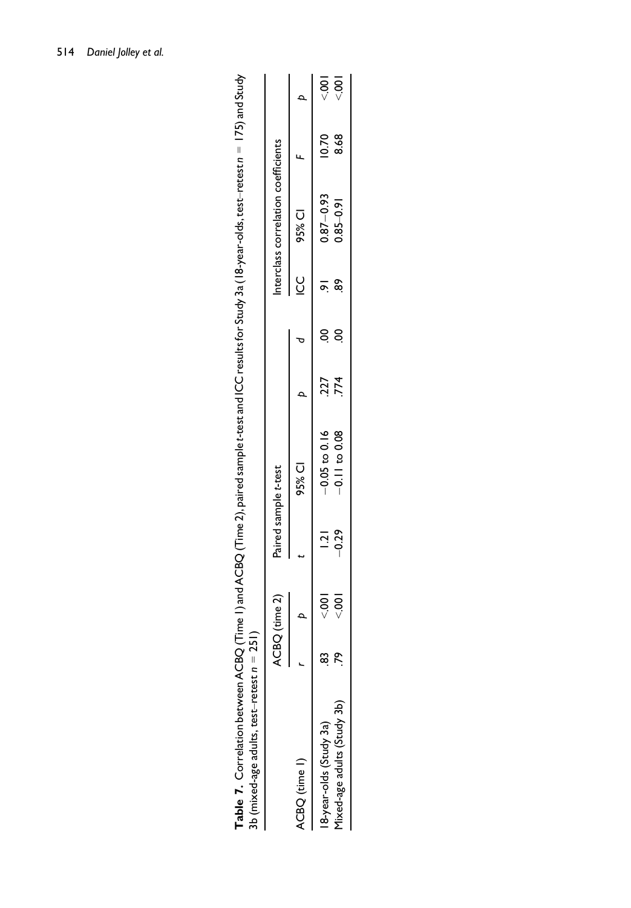| JD (mixed-age adults, test-retest $n = 2$ ) |   |               |                |                      |     |        |                                     |       |               |
|---------------------------------------------|---|---------------|----------------|----------------------|-----|--------|-------------------------------------|-------|---------------|
|                                             | ⋖ | CBQ (time 2)  |                | Paired sample t-test |     |        | interclass correlation coefficients |       |               |
| ACBQ (time I)                               |   |               |                | 95% CI               |     | ပ<br>ပ | 95% CI                              |       |               |
| 18-year-olds (Study 3a)                     | ب |               | $\overline{5}$ | $-0.05$ to 0.16      | 227 |        | $0.87 - 0.93$                       | 10.70 | $\frac{1}{2}$ |
| 1ixed-age adults (Study 3b)                 | σ | $\frac{1}{2}$ | $-0.29$        | $-0.11$ to 0.08      | 774 |        | $0.85 - 0.91$                       | 8.68  | $\frac{1}{2}$ |
|                                             |   |               |                |                      |     |        |                                     |       |               |

Table 7. Correlation between ACBQ (Time I) and ACBQ (Time 2), paired sample t-test and ICC results for Study 3a (18-year-olds, test-retest n = 175) and Study<br>3h (mixed and addite test-retest n = 251) <code>Table 7.</code> Correlation between ACBQ (Time 1) and ACBQ (Time 2), paired sample t-test and ICC results for Study 3a (18-year-olds, test–retest n = 175) and Study  $3b$  (mixed-age adults, test–retest  $n = 251$ )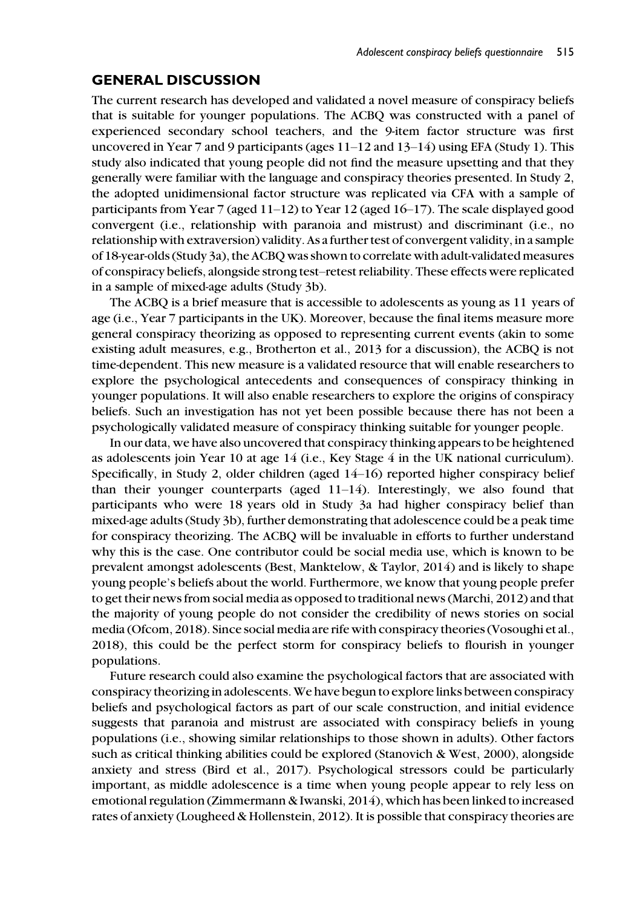# GENERAL DISCUSSION

The current research has developed and validated a novel measure of conspiracy beliefs that is suitable for younger populations. The ACBQ was constructed with a panel of experienced secondary school teachers, and the 9-item factor structure was first uncovered in Year 7 and 9 participants (ages 11–12 and 13–14) using EFA (Study 1). This study also indicated that young people did not find the measure upsetting and that they generally were familiar with the language and conspiracy theories presented. In Study 2, the adopted unidimensional factor structure was replicated via CFA with a sample of participants from Year 7 (aged 11–12) to Year 12 (aged 16–17). The scale displayed good convergent (i.e., relationship with paranoia and mistrust) and discriminant (i.e., no relationship with extraversion) validity. As a further test of convergent validity, in a sample of 18-year-olds (Study 3a), the ACBQ was shown to correlate with adult-validated measures of conspiracy beliefs, alongside strong test–retest reliability. These effects were replicated in a sample of mixed-age adults (Study 3b).

The ACBQ is a brief measure that is accessible to adolescents as young as 11 years of age (i.e., Year 7 participants in the UK). Moreover, because the final items measure more general conspiracy theorizing as opposed to representing current events (akin to some existing adult measures, e.g., Brotherton et al., 2013 for a discussion), the ACBQ is not time-dependent. This new measure is a validated resource that will enable researchers to explore the psychological antecedents and consequences of conspiracy thinking in younger populations. It will also enable researchers to explore the origins of conspiracy beliefs. Such an investigation has not yet been possible because there has not been a psychologically validated measure of conspiracy thinking suitable for younger people.

In our data, we have also uncovered that conspiracy thinking appears to be heightened as adolescents join Year 10 at age 14 (i.e., Key Stage 4 in the UK national curriculum). Specifically, in Study 2, older children (aged 14–16) reported higher conspiracy belief than their younger counterparts (aged  $11-14$ ). Interestingly, we also found that participants who were 18 years old in Study 3a had higher conspiracy belief than mixed-age adults (Study 3b), further demonstrating that adolescence could be a peak time for conspiracy theorizing. The ACBQ will be invaluable in efforts to further understand why this is the case. One contributor could be social media use, which is known to be prevalent amongst adolescents (Best, Manktelow, & Taylor, 2014) and is likely to shape young people's beliefs about the world. Furthermore, we know that young people prefer to get their news from social media as opposed to traditional news (Marchi, 2012) and that the majority of young people do not consider the credibility of news stories on social media (Ofcom, 2018). Since social media are rife with conspiracy theories (Vosoughi et al., 2018), this could be the perfect storm for conspiracy beliefs to flourish in younger populations.

Future research could also examine the psychological factors that are associated with conspiracy theorizing in adolescents. We have begun to explore links between conspiracy beliefs and psychological factors as part of our scale construction, and initial evidence suggests that paranoia and mistrust are associated with conspiracy beliefs in young populations (i.e., showing similar relationships to those shown in adults). Other factors such as critical thinking abilities could be explored (Stanovich & West, 2000), alongside anxiety and stress (Bird et al., 2017). Psychological stressors could be particularly important, as middle adolescence is a time when young people appear to rely less on emotional regulation (Zimmermann & Iwanski, 2014), which has been linked to increased rates of anxiety (Lougheed & Hollenstein, 2012). It is possible that conspiracy theories are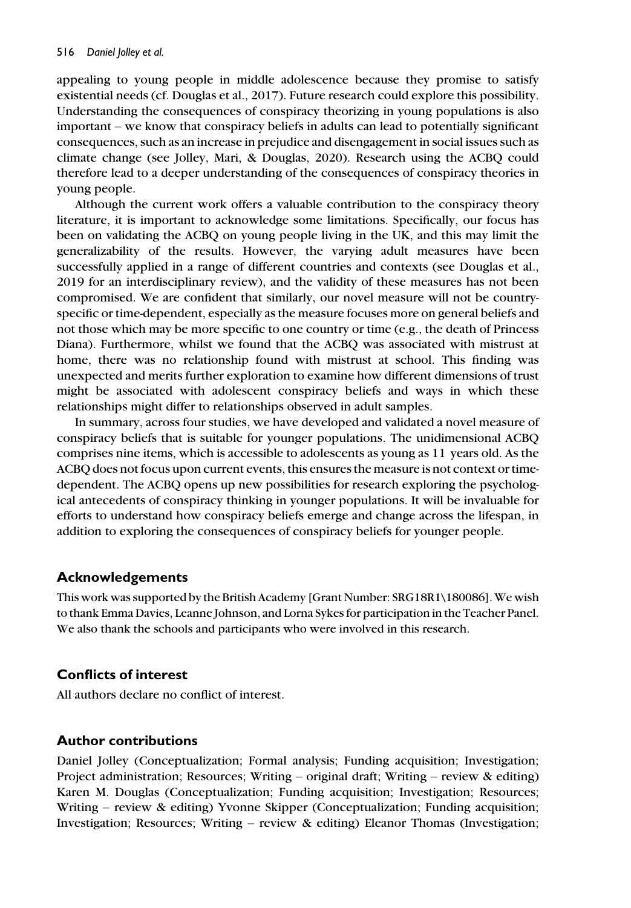appealing to young people in middle adolescence because they promise to satisfy existential needs (cf. Douglas et al., 2017). Future research could explore this possibility. Understanding the consequences of conspiracy theorizing in young populations is also important – we know that conspiracy beliefs in adults can lead to potentially significant consequences, such as an increase in prejudice and disengagement in social issues such as climate change (see Jolley, Mari, & Douglas, 2020). Research using the ACBQ could therefore lead to a deeper understanding of the consequences of conspiracy theories in young people.

Although the current work offers a valuable contribution to the conspiracy theory literature, it is important to acknowledge some limitations. Specifically, our focus has been on validating the ACBQ on young people living in the UK, and this may limit the generalizability of the results. However, the varying adult measures have been successfully applied in a range of different countries and contexts (see Douglas et al., 2019 for an interdisciplinary review), and the validity of these measures has not been compromised. We are confident that similarly, our novel measure will not be countryspecific or time-dependent, especially as the measure focuses more on general beliefs and not those which may be more specific to one country or time (e.g., the death of Princess Diana). Furthermore, whilst we found that the ACBQ was associated with mistrust at home, there was no relationship found with mistrust at school. This finding was unexpected and merits further exploration to examine how different dimensions of trust might be associated with adolescent conspiracy beliefs and ways in which these relationships might differ to relationships observed in adult samples.

In summary, across four studies, we have developed and validated a novel measure of conspiracy beliefs that is suitable for younger populations. The unidimensional ACBQ comprises nine items, which is accessible to adolescents as young as 11 years old. As the ACBQ does not focus upon current events, this ensures the measure is not context or timedependent. The ACBQ opens up new possibilities for research exploring the psychological antecedents of conspiracy thinking in younger populations. It will be invaluable for efforts to understand how conspiracy beliefs emerge and change across the lifespan, in addition to exploring the consequences of conspiracy beliefs for younger people.

# Acknowledgements

This work was supported by the British Academy [Grant Number: SRG18R1\180086]. We wish to thank Emma Davies, Leanne Johnson, and Lorna Sykes for participation in the Teacher Panel. We also thank the schools and participants who were involved in this research.

# Conflicts of interest

All authors declare no conflict of interest.

#### Author contributions

Daniel Jolley (Conceptualization; Formal analysis; Funding acquisition; Investigation; Project administration; Resources; Writing – original draft; Writing – review  $\&$  editing) Karen M. Douglas (Conceptualization; Funding acquisition; Investigation; Resources; Writing – review & editing) Yvonne Skipper (Conceptualization; Funding acquisition; Investigation; Resources; Writing – review & editing) Eleanor Thomas (Investigation;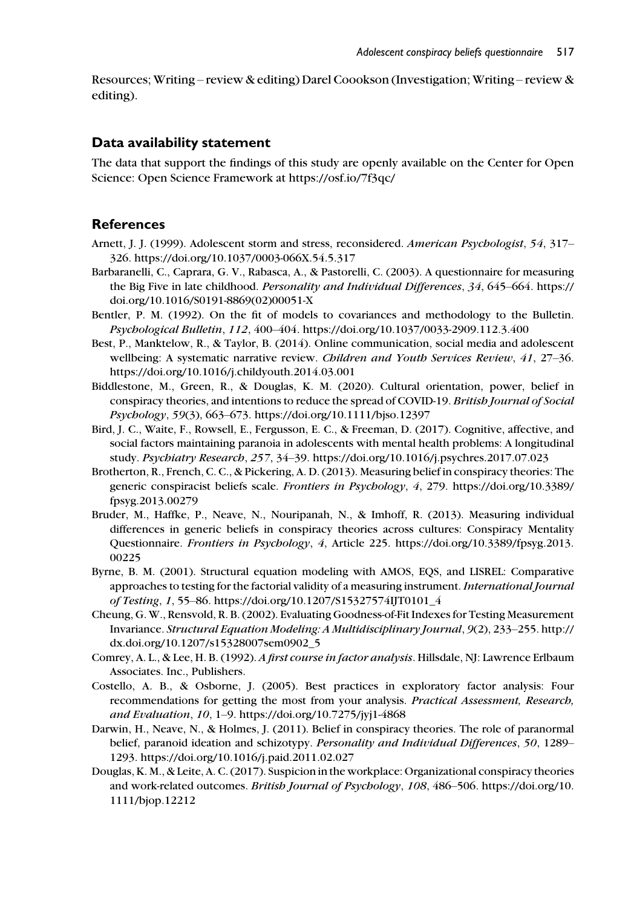Resources; Writing – review & editing) Darel Coookson (Investigation; Writing – review & editing).

#### Data availability statement

The data that support the findings of this study are openly available on the Center for Open Science: Open Science Framework at<https://osf.io/7f3qc/>

#### **References**

- Arnett, J. J. (1999). Adolescent storm and stress, reconsidered. American Psychologist, 54, 317– 326.<https://doi.org/10.1037/0003-066X.54.5.317>
- Barbaranelli, C., Caprara, G. V., Rabasca, A., & Pastorelli, C. (2003). A questionnaire for measuring the Big Five in late childhood. Personality and Individual Differences, 34, 645–664. [https://](https://doi.org/10.1016/S0191-8869(02)00051-X) [doi.org/10.1016/S0191-8869\(02\)00051-X](https://doi.org/10.1016/S0191-8869(02)00051-X)
- Bentler, P. M. (1992). On the fit of models to covariances and methodology to the Bulletin. Psychological Bulletin, 112, 400–404.<https://doi.org/10.1037/0033-2909.112.3.400>
- Best, P., Manktelow, R., & Taylor, B. (2014). Online communication, social media and adolescent wellbeing: A systematic narrative review. Children and Youth Services Review, 41, 27-36. <https://doi.org/10.1016/j.childyouth.2014.03.001>
- Biddlestone, M., Green, R., & Douglas, K. M. (2020). Cultural orientation, power, belief in conspiracy theories, and intentions to reduce the spread of COVID-19. British Journal of Social Psychology, 59(3), 663–673.<https://doi.org/10.1111/bjso.12397>
- Bird, J. C., Waite, F., Rowsell, E., Fergusson, E. C., & Freeman, D. (2017). Cognitive, affective, and social factors maintaining paranoia in adolescents with mental health problems: A longitudinal study. Psychiatry Research, 257, 34–39.<https://doi.org/10.1016/j.psychres.2017.07.023>
- Brotherton, R., French, C. C., & Pickering, A. D. (2013). Measuring belief in conspiracy theories: The generic conspiracist beliefs scale. Frontiers in Psychology, 4, 279. [https://doi.org/10.3389/](https://doi.org/10.3389/fpsyg.2013.00279) [fpsyg.2013.00279](https://doi.org/10.3389/fpsyg.2013.00279)
- Bruder, M., Haffke, P., Neave, N., Nouripanah, N., & Imhoff, R. (2013). Measuring individual differences in generic beliefs in conspiracy theories across cultures: Conspiracy Mentality Questionnaire. Frontiers in Psychology, 4, Article 225. [https://doi.org/10.3389/fpsyg.2013.](https://doi.org/10.3389/fpsyg.2013.00225) [00225](https://doi.org/10.3389/fpsyg.2013.00225)
- Byrne, B. M. (2001). Structural equation modeling with AMOS, EQS, and LISREL: Comparative approaches to testing for the factorial validity of a measuring instrument. International Journal of Testing, 1, 55–86. [https://doi.org/10.1207/S15327574IJT0101\\_4](https://doi.org/10.1207/S15327574IJT0101_4)
- Cheung, G. W., Rensvold, R. B. (2002). Evaluating Goodness-of-Fit Indexes for Testing Measurement Invariance. Structural Equation Modeling: A Multidisciplinary Journal, 9(2), 233–255. [http://](http://dx.doi.org/10.1207/s15328007sem0902_5) [dx.doi.org/10.1207/s15328007sem0902\\_5](http://dx.doi.org/10.1207/s15328007sem0902_5)
- Comrey, A. L., & Lee, H. B. (1992). A first course in factor analysis. Hillsdale, NJ: Lawrence Erlbaum Associates. Inc., Publishers.
- Costello, A. B., & Osborne, J. (2005). Best practices in exploratory factor analysis: Four recommendations for getting the most from your analysis. Practical Assessment, Research, and Evaluation, 10, 1–9.<https://doi.org/10.7275/jyj1-4868>
- Darwin, H., Neave, N., & Holmes, J. (2011). Belief in conspiracy theories. The role of paranormal belief, paranoid ideation and schizotypy. Personality and Individual Differences, 50, 1289-1293.<https://doi.org/10.1016/j.paid.2011.02.027>
- Douglas, K. M., & Leite, A. C. (2017). Suspicion in the workplace: Organizational conspiracy theories and work-related outcomes. British Journal of Psychology, 108, 486–506. [https://doi.org/10.](https://doi.org/10.1111/bjop.12212) [1111/bjop.12212](https://doi.org/10.1111/bjop.12212)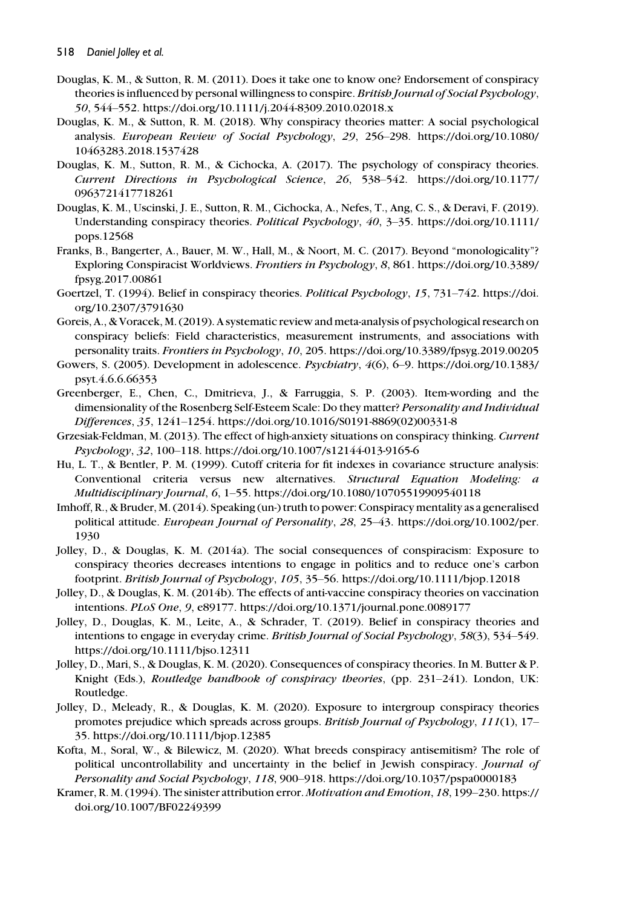- Douglas, K. M., & Sutton, R. M. (2011). Does it take one to know one? Endorsement of conspiracy theories is influenced by personal willingness to conspire. British Journal of Social Psychology, 50, 544–552.<https://doi.org/10.1111/j.2044-8309.2010.02018.x>
- Douglas, K. M., & Sutton, R. M. (2018). Why conspiracy theories matter: A social psychological analysis. European Review of Social Psychology, 29, 256–298. [https://doi.org/10.1080/](https://doi.org/10.1080/10463283.2018.1537428) [10463283.2018.1537428](https://doi.org/10.1080/10463283.2018.1537428)
- Douglas, K. M., Sutton, R. M., & Cichocka, A. (2017). The psychology of conspiracy theories. Current Directions in Psychological Science, 26, 538–542. [https://doi.org/10.1177/](https://doi.org/10.1177/0963721417718261) [0963721417718261](https://doi.org/10.1177/0963721417718261)
- Douglas, K. M., Uscinski, J. E., Sutton, R. M., Cichocka, A., Nefes, T., Ang, C. S., & Deravi, F. (2019). Understanding conspiracy theories. Political Psychology, 40, 3–35. [https://doi.org/10.1111/](https://doi.org/10.1111/pops.12568) [pops.12568](https://doi.org/10.1111/pops.12568)
- Franks, B., Bangerter, A., Bauer, M. W., Hall, M., & Noort, M. C. (2017). Beyond "monologicality"? Exploring Conspiracist Worldviews. Frontiers in Psychology, 8, 861. [https://doi.org/10.3389/](https://doi.org/10.3389/fpsyg.2017.00861) [fpsyg.2017.00861](https://doi.org/10.3389/fpsyg.2017.00861)
- Goertzel, T. (1994). Belief in conspiracy theories. Political Psychology, 15, 731–742. [https://doi.](https://doi.org/10.2307/3791630) [org/10.2307/3791630](https://doi.org/10.2307/3791630)
- Goreis, A., & Voracek, M. (2019). A systematic review and meta-analysis of psychological research on conspiracy beliefs: Field characteristics, measurement instruments, and associations with personality traits. Frontiers in Psychology, 10, 205.<https://doi.org/10.3389/fpsyg.2019.00205>
- Gowers, S. (2005). Development in adolescence. Psychiatry, 4(6), 6–9. [https://doi.org/10.1383/](https://doi.org/10.1383/psyt.4.6.6.66353) [psyt.4.6.6.66353](https://doi.org/10.1383/psyt.4.6.6.66353)
- Greenberger, E., Chen, C., Dmitrieva, J., & Farruggia, S. P. (2003). Item-wording and the dimensionality of the Rosenberg Self-Esteem Scale: Do they matter? Personality and Individual Differences, 35, 1241–1254. [https://doi.org/10.1016/S0191-8869\(02\)00331-8](https://doi.org/10.1016/S0191-8869(02)00331-8)
- Grzesiak-Feldman, M. (2013). The effect of high-anxiety situations on conspiracy thinking. Current Psychology, 32, 100–118.<https://doi.org/10.1007/s12144-013-9165-6>
- Hu, L. T., & Bentler, P. M. (1999). Cutoff criteria for fit indexes in covariance structure analysis: Conventional criteria versus new alternatives. Structural Equation Modeling: a Multidisciplinary Journal, 6, 1–55.<https://doi.org/10.1080/10705519909540118>
- Imhoff, R., & Bruder, M. (2014). Speaking (un-) truth to power: Conspiracy mentality as a generalised political attitude. European Journal of Personality, 28, 25–43. [https://doi.org/10.1002/per.](https://doi.org/10.1002/per.1930) [1930](https://doi.org/10.1002/per.1930)
- Jolley, D., & Douglas, K. M. (2014a). The social consequences of conspiracism: Exposure to conspiracy theories decreases intentions to engage in politics and to reduce one's carbon footprint. British Journal of Psychology, 105, 35–56.<https://doi.org/10.1111/bjop.12018>
- Jolley, D., & Douglas, K. M. (2014b). The effects of anti-vaccine conspiracy theories on vaccination intentions. PLoS One, 9, e89177.<https://doi.org/10.1371/journal.pone.0089177>
- Jolley, D., Douglas, K. M., Leite, A., & Schrader, T. (2019). Belief in conspiracy theories and intentions to engage in everyday crime. British Journal of Social Psychology, 58(3), 534–549. <https://doi.org/10.1111/bjso.12311>
- Jolley, D., Mari, S., & Douglas, K. M. (2020). Consequences of conspiracy theories. In M. Butter & P. Knight (Eds.), Routledge handbook of conspiracy theories, (pp. 231-241). London, UK: Routledge.
- Jolley, D., Meleady, R., & Douglas, K. M. (2020). Exposure to intergroup conspiracy theories promotes prejudice which spreads across groups. British Journal of Psychology, 111(1), 17– 35.<https://doi.org/10.1111/bjop.12385>
- Kofta, M., Soral, W., & Bilewicz, M. (2020). What breeds conspiracy antisemitism? The role of political uncontrollability and uncertainty in the belief in Jewish conspiracy. Journal of Personality and Social Psychology, 118, 900–918.<https://doi.org/10.1037/pspa0000183>
- Kramer, R. M. (1994). The sinister attribution error. Motivation and Emotion, 18, 199–230. [https://](https://doi.org/10.1007/BF02249399) [doi.org/10.1007/BF02249399](https://doi.org/10.1007/BF02249399)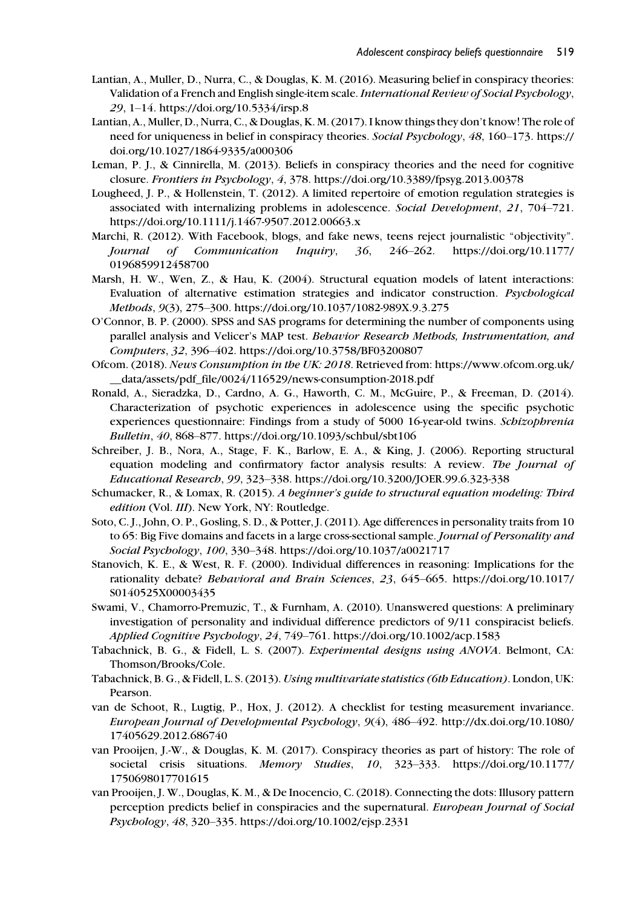- Lantian, A., Muller, D., Nurra, C., & Douglas, K. M. (2016). Measuring belief in conspiracy theories: Validation of a French and English single-item scale. International Review of Social Psychology, 29, 1–14.<https://doi.org/10.5334/irsp.8>
- Lantian, A., Muller, D., Nurra, C., & Douglas, K. M. (2017). I know things they don't know! The role of need for uniqueness in belief in conspiracy theories. Social Psychology, 48, 160–173. [https://](https://doi.org/10.1027/1864-9335/a000306) [doi.org/10.1027/1864-9335/a000306](https://doi.org/10.1027/1864-9335/a000306)
- Leman, P. J., & Cinnirella, M. (2013). Beliefs in conspiracy theories and the need for cognitive closure. Frontiers in Psychology, 4, 378.<https://doi.org/10.3389/fpsyg.2013.00378>
- Lougheed, J. P., & Hollenstein, T. (2012). A limited repertoire of emotion regulation strategies is associated with internalizing problems in adolescence. Social Development, 21, 704–721. <https://doi.org/10.1111/j.1467-9507.2012.00663.x>
- Marchi, R. (2012). With Facebook, blogs, and fake news, teens reject journalistic "objectivity". Journal of Communication Inquiry, 36, 246–262. [https://doi.org/10.1177/](https://doi.org/10.1177/0196859912458700) [0196859912458700](https://doi.org/10.1177/0196859912458700)
- Marsh, H. W., Wen, Z., & Hau, K. (2004). Structural equation models of latent interactions: Evaluation of alternative estimation strategies and indicator construction. Psychological Methods, 9(3), 275–300.<https://doi.org/10.1037/1082-989X.9.3.275>
- O'Connor, B. P. (2000). SPSS and SAS programs for determining the number of components using parallel analysis and Velicer's MAP test. Behavior Research Methods, Instrumentation, and Computers, 32, 396–402.<https://doi.org/10.3758/BF03200807>
- Ofcom. (2018). News Consumption in the UK: 2018. Retrieved from: [https://www.ofcom.org.uk/](https://www.ofcom.org.uk/__data/assets/pdf_file/0024/116529/news-consumption-2018.pdf) [\\_\\_data/assets/pdf\\_file/0024/116529/news-consumption-2018.pdf](https://www.ofcom.org.uk/__data/assets/pdf_file/0024/116529/news-consumption-2018.pdf)
- Ronald, A., Sieradzka, D., Cardno, A. G., Haworth, C. M., McGuire, P., & Freeman, D. (2014). Characterization of psychotic experiences in adolescence using the specific psychotic experiences questionnaire: Findings from a study of 5000 16-year-old twins. Schizophrenia Bulletin, 40, 868–877.<https://doi.org/10.1093/schbul/sbt106>
- Schreiber, J. B., Nora, A., Stage, F. K., Barlow, E. A., & King, J. (2006). Reporting structural equation modeling and confirmatory factor analysis results: A review. The Journal of Educational Research, 99, 323–338.<https://doi.org/10.3200/JOER.99.6.323-338>
- Schumacker, R., & Lomax, R. (2015). A beginner's guide to structural equation modeling: Third edition (Vol. III). New York, NY: Routledge.
- Soto, C. J., John, O. P., Gosling, S. D., & Potter, J. (2011). Age differences in personality traits from 10 to 65: Big Five domains and facets in a large cross-sectional sample. Journal of Personality and Social Psychology, 100, 330–348.<https://doi.org/10.1037/a0021717>
- Stanovich, K. E., & West, R. F. (2000). Individual differences in reasoning: Implications for the rationality debate? Behavioral and Brain Sciences, 23, 645–665. [https://doi.org/10.1017/](https://doi.org/10.1017/S0140525X00003435) [S0140525X00003435](https://doi.org/10.1017/S0140525X00003435)
- Swami, V., Chamorro-Premuzic, T., & Furnham, A. (2010). Unanswered questions: A preliminary investigation of personality and individual difference predictors of 9/11 conspiracist beliefs. Applied Cognitive Psychology, 24, 749–761.<https://doi.org/10.1002/acp.1583>
- Tabachnick, B. G., & Fidell, L. S. (2007). Experimental designs using ANOVA. Belmont, CA: Thomson/Brooks/Cole.
- Tabachnick, B. G., & Fidell, L. S. (2013). Using multivariate statistics (6th Education). London, UK: Pearson.
- van de Schoot, R., Lugtig, P., Hox, J. (2012). A checklist for testing measurement invariance. European Journal of Developmental Psychology, 9(4), 486–492. [http://dx.doi.org/10.1080/](http://dx.doi.org/10.1080/17405629.2012.686740) [17405629.2012.686740](http://dx.doi.org/10.1080/17405629.2012.686740)
- van Prooijen, J.-W., & Douglas, K. M. (2017). Conspiracy theories as part of history: The role of societal crisis situations. Memory Studies, 10, 323–333. [https://doi.org/10.1177/](https://doi.org/10.1177/1750698017701615) [1750698017701615](https://doi.org/10.1177/1750698017701615)
- van Prooijen, J. W., Douglas, K. M., & De Inocencio, C. (2018). Connecting the dots: Illusory pattern perception predicts belief in conspiracies and the supernatural. European Journal of Social Psychology, 48, 320–335.<https://doi.org/10.1002/ejsp.2331>